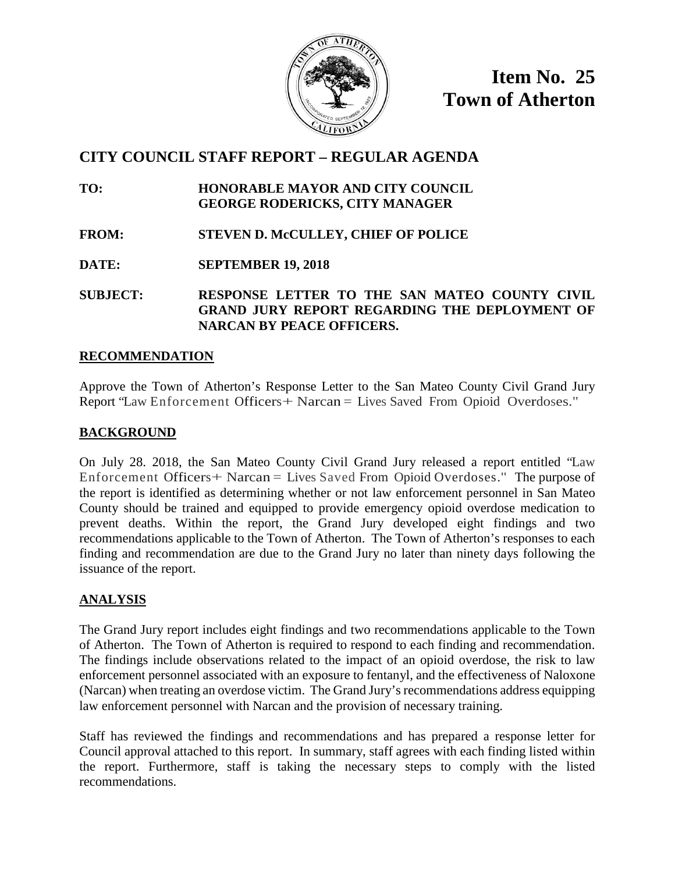

**Item No. 25 Town of Atherton**

# **CITY COUNCIL STAFF REPORT – REGULAR AGENDA**

**TO: HONORABLE MAYOR AND CITY COUNCIL GEORGE RODERICKS, CITY MANAGER**

**FROM: STEVEN D. McCULLEY, CHIEF OF POLICE**

**DATE: SEPTEMBER 19, 2018**

**SUBJECT: RESPONSE LETTER TO THE SAN MATEO COUNTY CIVIL GRAND JURY REPORT REGARDING THE DEPLOYMENT OF NARCAN BY PEACE OFFICERS.**

#### **RECOMMENDATION**

Approve the Town of Atherton's Response Letter to the San Mateo County Civil Grand Jury Report "Law Enforcement Officers+ Narcan = Lives Saved From Opioid Overdoses."

#### **BACKGROUND**

On July 28. 2018, the San Mateo County Civil Grand Jury released a report entitled "Law Enforcement Officers+ Narcan = Lives Saved From Opioid Overdoses." The purpose of the report is identified as determining whether or not law enforcement personnel in San Mateo County should be trained and equipped to provide emergency opioid overdose medication to prevent deaths. Within the report, the Grand Jury developed eight findings and two recommendations applicable to the Town of Atherton. The Town of Atherton's responses to each finding and recommendation are due to the Grand Jury no later than ninety days following the issuance of the report.

## **ANALYSIS**

The Grand Jury report includes eight findings and two recommendations applicable to the Town of Atherton. The Town of Atherton is required to respond to each finding and recommendation. The findings include observations related to the impact of an opioid overdose, the risk to law enforcement personnel associated with an exposure to fentanyl, and the effectiveness of Naloxone (Narcan) when treating an overdose victim. The Grand Jury's recommendations address equipping law enforcement personnel with Narcan and the provision of necessary training.

Staff has reviewed the findings and recommendations and has prepared a response letter for Council approval attached to this report. In summary, staff agrees with each finding listed within the report. Furthermore, staff is taking the necessary steps to comply with the listed recommendations.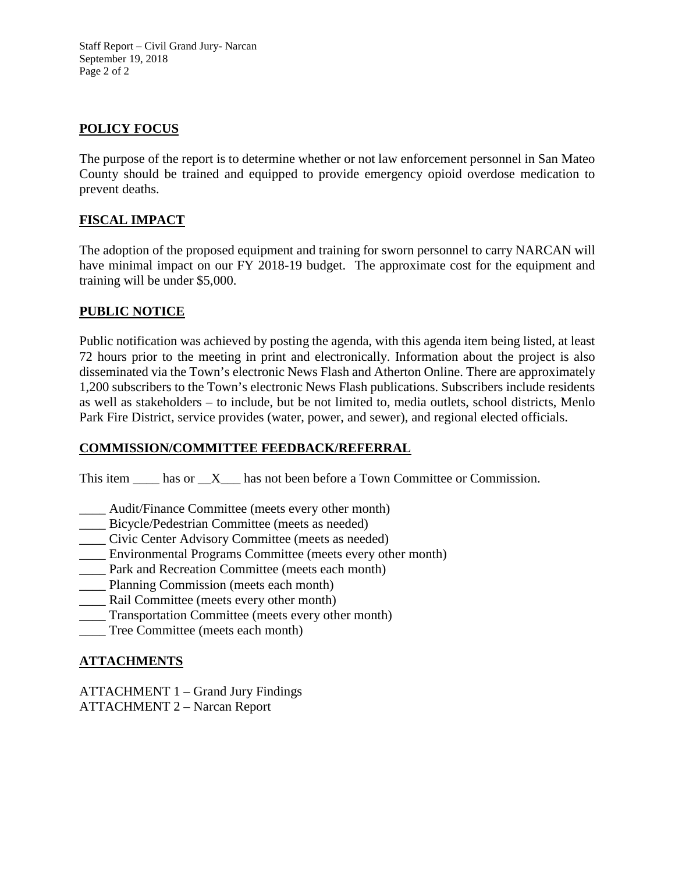Staff Report – Civil Grand Jury- Narcan September 19, 2018 Page 2 of 2

#### **POLICY FOCUS**

The purpose of the report is to determine whether or not law enforcement personnel in San Mateo County should be trained and equipped to provide emergency opioid overdose medication to prevent deaths.

## **FISCAL IMPACT**

The adoption of the proposed equipment and training for sworn personnel to carry NARCAN will have minimal impact on our FY 2018-19 budget. The approximate cost for the equipment and training will be under \$5,000.

#### **PUBLIC NOTICE**

Public notification was achieved by posting the agenda, with this agenda item being listed, at least 72 hours prior to the meeting in print and electronically. Information about the project is also disseminated via the Town's electronic News Flash and Atherton Online. There are approximately 1,200 subscribers to the Town's electronic News Flash publications. Subscribers include residents as well as stakeholders – to include, but be not limited to, media outlets, school districts, Menlo Park Fire District, service provides (water, power, and sewer), and regional elected officials.

## **COMMISSION/COMMITTEE FEEDBACK/REFERRAL**

This item  $\_\_\_\$ has or  $\_\ X\_\_\$ has not been before a Town Committee or Commission.

- \_\_\_\_ Audit/Finance Committee (meets every other month)
- \_\_\_\_ Bicycle/Pedestrian Committee (meets as needed)
- \_\_\_\_ Civic Center Advisory Committee (meets as needed)
- \_\_\_\_ Environmental Programs Committee (meets every other month)
- \_\_\_\_ Park and Recreation Committee (meets each month)
- \_\_\_\_ Planning Commission (meets each month)
- Rail Committee (meets every other month)
- \_\_\_\_ Transportation Committee (meets every other month)
- \_\_\_\_ Tree Committee (meets each month)

## **ATTACHMENTS**

ATTACHMENT 1 – Grand Jury Findings ATTACHMENT 2 – Narcan Report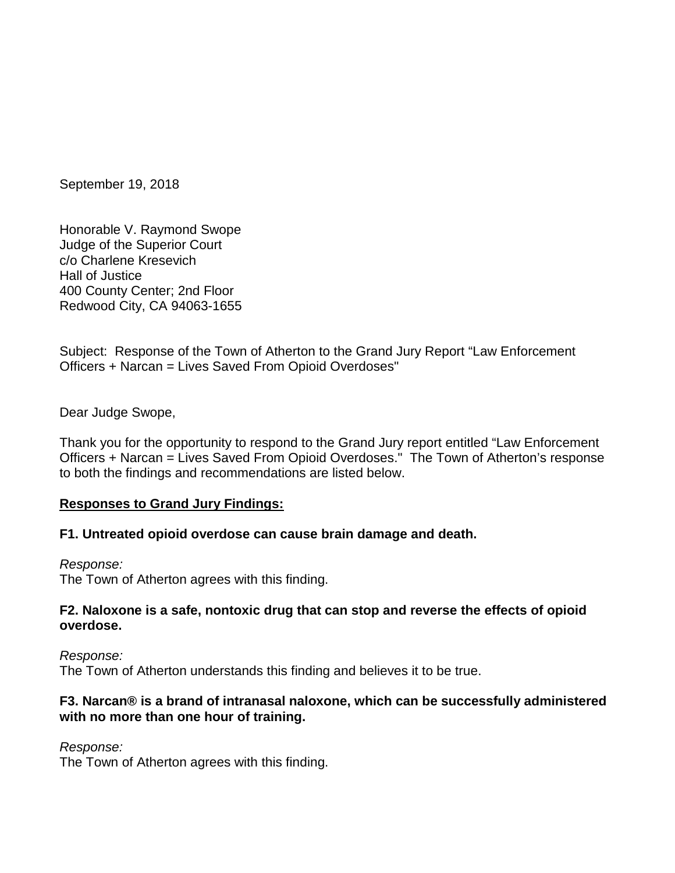September 19, 2018

Honorable V. Raymond Swope Judge of the Superior Court c/o Charlene Kresevich Hall of Justice 400 County Center; 2nd Floor Redwood City, CA 94063-1655

Subject: Response of the Town of Atherton to the Grand Jury Report "Law Enforcement Officers + Narcan = Lives Saved From Opioid Overdoses"

Dear Judge Swope,

Thank you for the opportunity to respond to the Grand Jury report entitled "Law Enforcement Officers + Narcan = Lives Saved From Opioid Overdoses." The Town of Atherton's response to both the findings and recommendations are listed below.

#### **Responses to Grand Jury Findings:**

#### **F1. Untreated opioid overdose can cause brain damage and death.**

*Response:*

The Town of Atherton agrees with this finding.

#### **F2. Naloxone is a safe, nontoxic drug that can stop and reverse the effects of opioid overdose.**

*Response:* The Town of Atherton understands this finding and believes it to be true.

#### **F3. Narcan® is a brand of intranasal naloxone, which can be successfully administered with no more than one hour of training.**

*Response:*

The Town of Atherton agrees with this finding.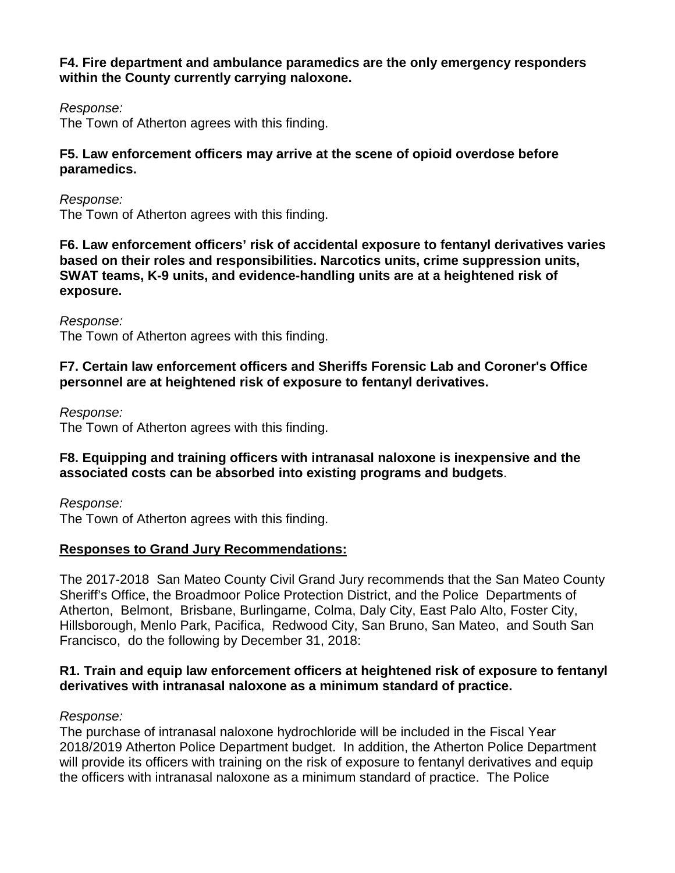## **F4. Fire department and ambulance paramedics are the only emergency responders within the County currently carrying naloxone.**

*Response:*

The Town of Atherton agrees with this finding.

## **F5. Law enforcement officers may arrive at the scene of opioid overdose before paramedics.**

*Response:* The Town of Atherton agrees with this finding.

**F6. Law enforcement officers' risk of accidental exposure to fentanyl derivatives varies based on their roles and responsibilities. Narcotics units, crime suppression units, SWAT teams, K-9 units, and evidence-handling units are at a heightened risk of exposure.**

*Response:* The Town of Atherton agrees with this finding.

## **F7. Certain law enforcement officers and Sheriffs Forensic Lab and Coroner's Office personnel are at heightened risk of exposure to fentanyl derivatives.**

*Response:*

The Town of Atherton agrees with this finding.

## **F8. Equipping and training officers with intranasal naloxone is inexpensive and the associated costs can be absorbed into existing programs and budgets**.

*Response:* The Town of Atherton agrees with this finding.

## **Responses to Grand Jury Recommendations:**

The 2017-2018 San Mateo County Civil Grand Jury recommends that the San Mateo County Sheriff's Office, the Broadmoor Police Protection District, and the Police Departments of Atherton, Belmont, Brisbane, Burlingame, Colma, Daly City, East Palo Alto, Foster City, Hillsborough, Menlo Park, Pacifica, Redwood City, San Bruno, San Mateo, and South San Francisco, do the following by December 31, 2018:

## **R1. Train and equip law enforcement officers at heightened risk of exposure to fentanyl derivatives with intranasal naloxone as a minimum standard of practice.**

*Response:* 

The purchase of intranasal naloxone hydrochloride will be included in the Fiscal Year 2018/2019 Atherton Police Department budget. In addition, the Atherton Police Department will provide its officers with training on the risk of exposure to fentanyl derivatives and equip the officers with intranasal naloxone as a minimum standard of practice. The Police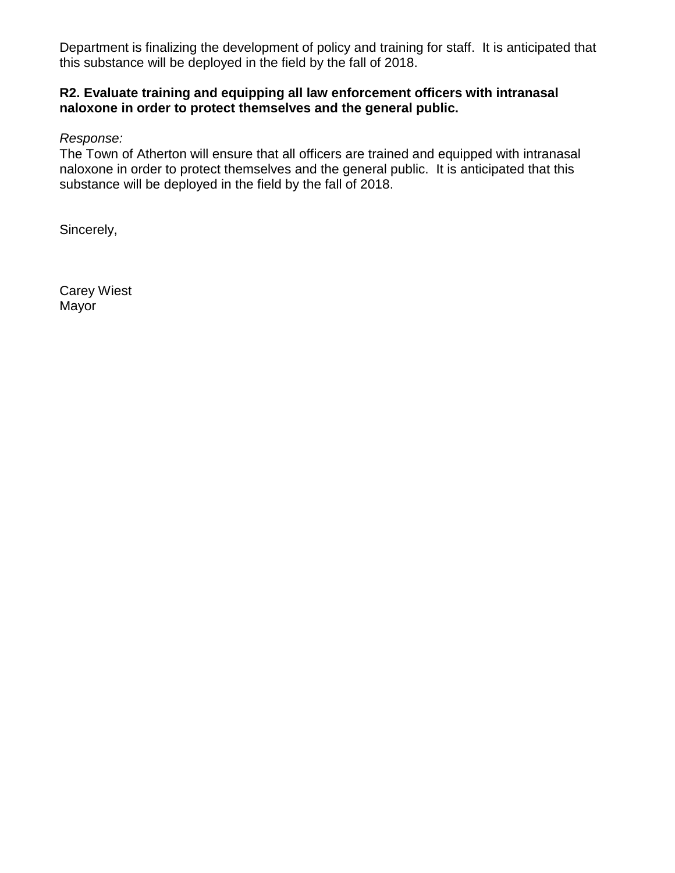Department is finalizing the development of policy and training for staff. It is anticipated that this substance will be deployed in the field by the fall of 2018.

## **R2. Evaluate training and equipping all law enforcement officers with intranasal naloxone in order to protect themselves and the general public.**

*Response:* 

The Town of Atherton will ensure that all officers are trained and equipped with intranasal naloxone in order to protect themselves and the general public. It is anticipated that this substance will be deployed in the field by the fall of 2018.

Sincerely,

Carey Wiest Mayor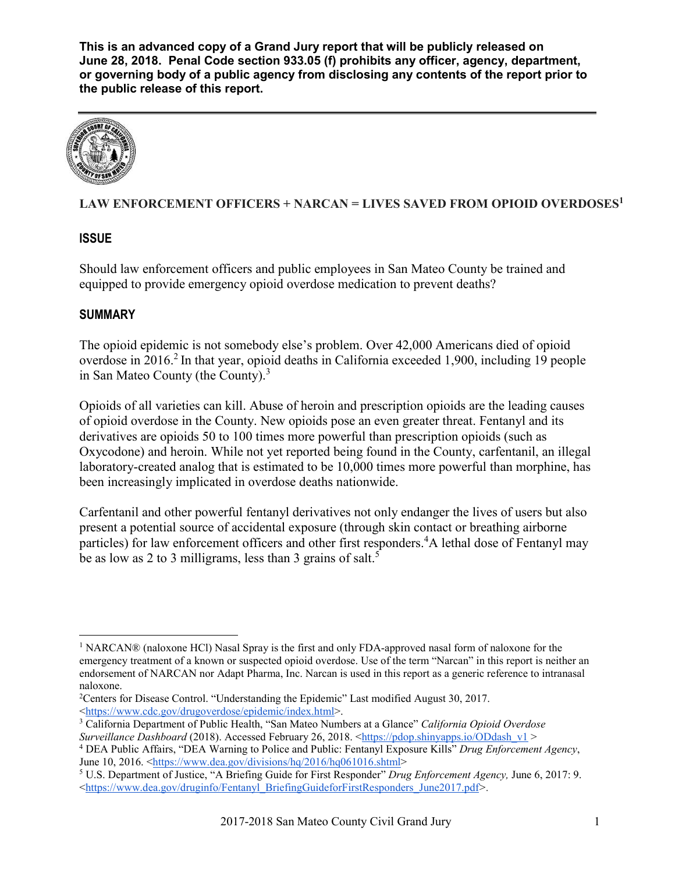

## **LAW ENFORCEMENT OFFICERS + NARCAN = LIVES SAVED FROM OPIOID OVERDOSES<sup>1</sup>**

## **ISSUE**

Should law enforcement officers and public employees in San Mateo County be trained and equipped to provide emergency opioid overdose medication to prevent deaths?

## **SUMMARY**

The opioid epidemic is not somebody else's problem. Over 42,000 Americans died of opioid overdose in 2016.<sup>2</sup> In that year, opioid deaths in California exceeded 1,900, including 19 people in San Mateo County (the County). $3$ 

Opioids of all varieties can kill. Abuse of heroin and prescription opioids are the leading causes of opioid overdose in the County. New opioids pose an even greater threat. Fentanyl and its derivatives are opioids 50 to 100 times more powerful than prescription opioids (such as Oxycodone) and heroin. While not yet reported being found in the County, carfentanil, an illegal laboratory-created analog that is estimated to be 10,000 times more powerful than morphine, has been increasingly implicated in overdose deaths nationwide.

Carfentanil and other powerful fentanyl derivatives not only endanger the lives of users but also present a potential source of accidental exposure (through skin contact or breathing airborne particles) for law enforcement officers and other first responders.<sup>4</sup>A lethal dose of Fentanyl may be as low as 2 to 3 milligrams, less than 3 grains of salt.<sup>5</sup>

<sup>&</sup>lt;sup>1</sup> NARCAN® (naloxone HCl) Nasal Spray is the first and only FDA-approved nasal form of naloxone for the emergency treatment of a known or suspected opioid overdose. Use of the term "Narcan" in this report is neither an endorsement of NARCAN nor Adapt Pharma, Inc. Narcan is used in this report as a generic reference to intranasal naloxone.

<sup>&</sup>lt;sup>2</sup> Centers for Disease Control. "Understanding the Epidemic" Last modified August 30, 2017. <https://www.cdc.gov/drugoverdose/epidemic/index.html>.

<sup>3</sup> California Department of Public Health, "San Mateo Numbers at a Glance" *California Opioid Overdose Surveillance Dashboard* (2018). Accessed February 26, 2018. <https://pdop.shinyapps.io/ODdash\_v1 >

<sup>4</sup> DEA Public Affairs, "DEA Warning to Police and Public: Fentanyl Exposure Kills" *Drug Enforcement Agency*,

<sup>&</sup>lt;sup>5</sup> U.S. Department of Justice, "A Briefing Guide for First Responder" *Drug Enforcement Agency*, June 6, 2017: 9. <https://www.dea.gov/druginfo/Fentanyl\_BriefingGuideforFirstResponders\_June2017.pdf*>.*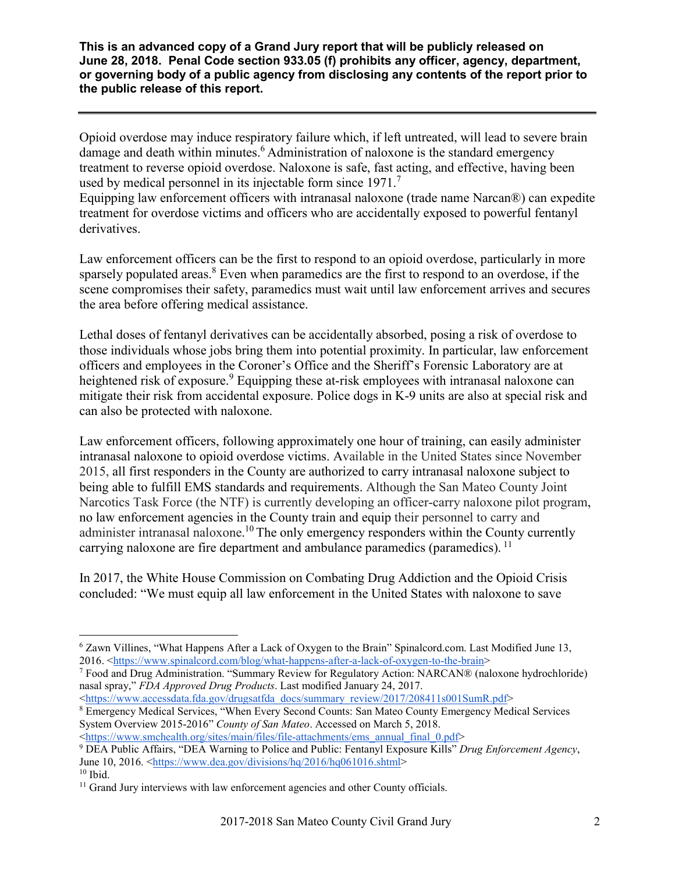Opioid overdose may induce respiratory failure which, if left untreated, will lead to severe brain damage and death within minutes.<sup>6</sup> Administration of naloxone is the standard emergency treatment to reverse opioid overdose. Naloxone is safe, fast acting, and effective, having been used by medical personnel in its injectable form since 1971.<sup>7</sup>

Equipping law enforcement officers with intranasal naloxone (trade name Narcan®) can expedite treatment for overdose victims and officers who are accidentally exposed to powerful fentanyl derivatives.

Law enforcement officers can be the first to respond to an opioid overdose, particularly in more sparsely populated areas.<sup>8</sup> Even when paramedics are the first to respond to an overdose, if the scene compromises their safety, paramedics must wait until law enforcement arrives and secures the area before offering medical assistance.

Lethal doses of fentanyl derivatives can be accidentally absorbed, posing a risk of overdose to those individuals whose jobs bring them into potential proximity. In particular, law enforcement officers and employees in the Coroner's Office and the Sheriff's Forensic Laboratory are at heightened risk of exposure.<sup>9</sup> Equipping these at-risk employees with intranasal naloxone can mitigate their risk from accidental exposure. Police dogs in K-9 units are also at special risk and can also be protected with naloxone.

Law enforcement officers, following approximately one hour of training, can easily administer intranasal naloxone to opioid overdose victims. Available in the United States since November 2015, all first responders in the County are authorized to carry intranasal naloxone subject to being able to fulfill EMS standards and requirements. Although the San Mateo County Joint Narcotics Task Force (the NTF) is currently developing an officer-carry naloxone pilot program, no law enforcement agencies in the County train and equip their personnel to carry and administer intranasal naloxone.<sup>10</sup> The only emergency responders within the County currently carrying naloxone are fire department and ambulance paramedics (paramedics). <sup>11</sup>

In 2017, the White House Commission on Combating Drug Addiction and the Opioid Crisis concluded: "We must equip all law enforcement in the United States with naloxone to save

<https://www.accessdata.fda.gov/drugsatfda\_docs/summary\_review/2017/208411s001SumR.pdf>

<https://www.smchealth.org/sites/main/files/file-attachments/ems\_annual\_final\_0.pdf>

 <sup>6</sup> Zawn Villines, "What Happens After a Lack of Oxygen to the Brain" Spinalcord.com. Last Modified June 13, 2016. <https://www.spinalcord.com/blog/what-happens-after-a-lack-of-oxygen-to-the-brain><br>
<sup>7</sup> Food and Drug Administration. "Summary Review for Regulatory Action: NARCAN® (naloxone hydrochloride)

nasal spray," *FDA Approved Drug Products*. Last modified January 24, 2017.

<sup>8</sup> Emergency Medical Services, "When Every Second Counts: San Mateo County Emergency Medical Services System Overview 2015-2016" *County of San Mateo*. Accessed on March 5, 2018.

<sup>9</sup> DEA Public Affairs, "DEA Warning to Police and Public: Fentanyl Exposure Kills" *Drug Enforcement Agency*, June 10, 2016.  $\frac{\text{https://www.dea.gov/divisions/hq/2016/hq061016.shtmi}}{10}$ 

 $11$  Grand Jury interviews with law enforcement agencies and other County officials.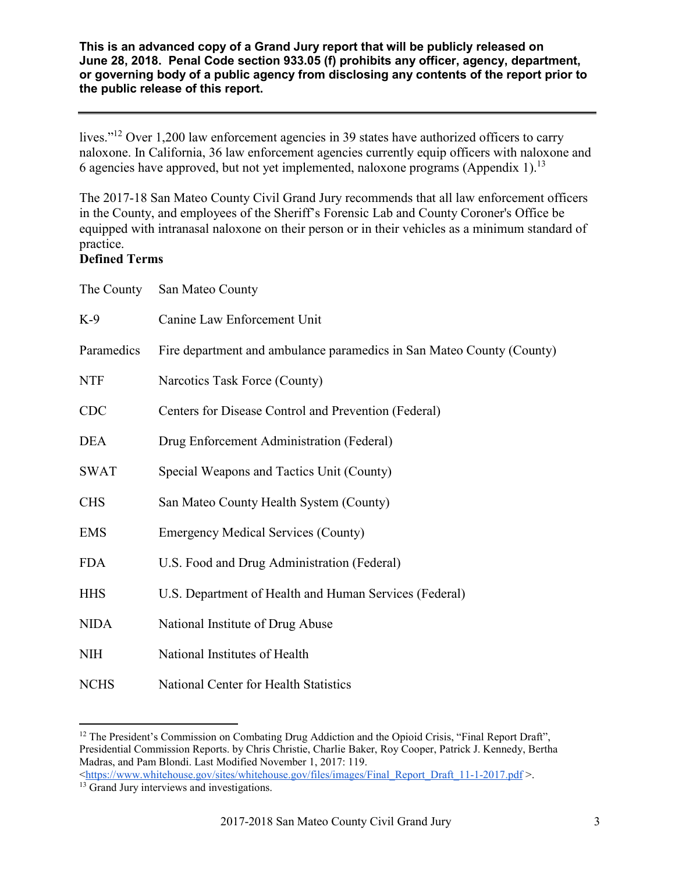lives."<sup>12</sup> Over 1,200 law enforcement agencies in 39 states have authorized officers to carry naloxone. In California, 36 law enforcement agencies currently equip officers with naloxone and 6 agencies have approved, but not yet implemented, naloxone programs (Appendix 1).<sup>13</sup>

The 2017-18 San Mateo County Civil Grand Jury recommends that all law enforcement officers in the County, and employees of the Sheriff's Forensic Lab and County Coroner's Office be equipped with intranasal naloxone on their person or in their vehicles as a minimum standard of practice.

#### **Defined Terms**

| The County  | San Mateo County                                                      |
|-------------|-----------------------------------------------------------------------|
| $K-9$       | Canine Law Enforcement Unit                                           |
| Paramedics  | Fire department and ambulance paramedics in San Mateo County (County) |
| <b>NTF</b>  | Narcotics Task Force (County)                                         |
| <b>CDC</b>  | Centers for Disease Control and Prevention (Federal)                  |
| <b>DEA</b>  | Drug Enforcement Administration (Federal)                             |
| <b>SWAT</b> | Special Weapons and Tactics Unit (County)                             |
| <b>CHS</b>  | San Mateo County Health System (County)                               |
| <b>EMS</b>  | <b>Emergency Medical Services (County)</b>                            |
| <b>FDA</b>  | U.S. Food and Drug Administration (Federal)                           |
| <b>HHS</b>  | U.S. Department of Health and Human Services (Federal)                |
| <b>NIDA</b> | National Institute of Drug Abuse                                      |
| <b>NIH</b>  | National Institutes of Health                                         |
| <b>NCHS</b> | National Center for Health Statistics                                 |

<sup>&</sup>lt;sup>12</sup> The President's Commission on Combating Drug Addiction and the Opioid Crisis, "Final Report Draft", Presidential Commission Reports. by Chris Christie, Charlie Baker, Roy Cooper, Patrick J. Kennedy, Bertha Madras, and Pam Blondi. Last Modified November 1, 2017: 119.  $\langle$ https://www.whitehouse.gov/sites/whitehouse.gov/files/images/Final\_Report\_Draft\_11-1-2017.pdf >.

<sup>&</sup>lt;sup>13</sup> Grand Jury interviews and investigations.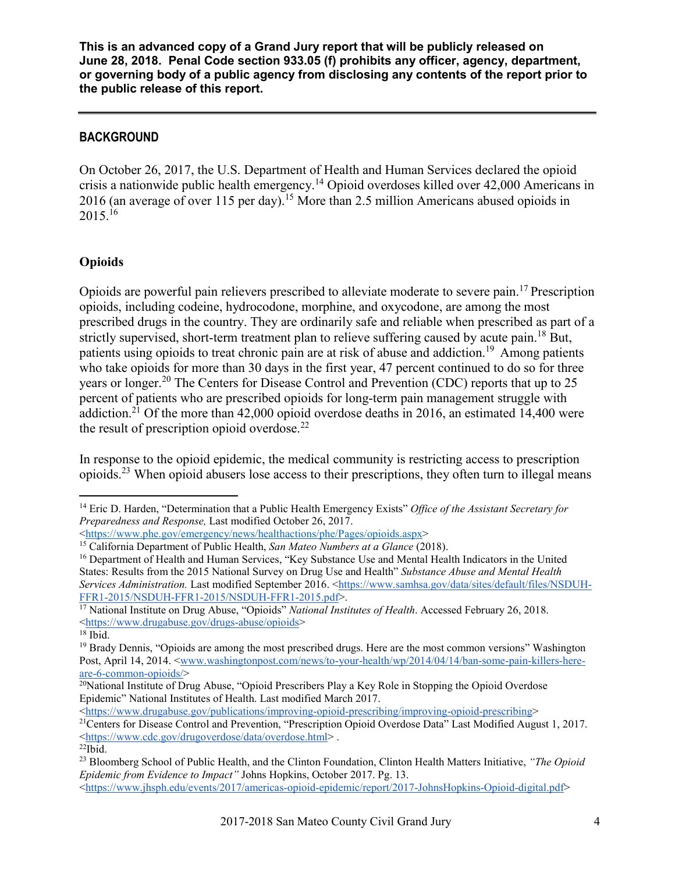#### **BACKGROUND**

On October 26, 2017, the U.S. Department of Health and Human Services declared the opioid crisis a nationwide public health emergency.<sup>14</sup> Opioid overdoses killed over 42,000 Americans in 2016 (an average of over 115 per day).<sup>15</sup> More than 2.5 million Americans abused opioids in  $2015.<sup>16</sup>$ 

## **Opioids**

Opioids are powerful pain relievers prescribed to alleviate moderate to severe pain.<sup>17</sup> Prescription opioids, including codeine, hydrocodone, morphine, and oxycodone, are among the most prescribed drugs in the country. They are ordinarily safe and reliable when prescribed as part of a strictly supervised, short-term treatment plan to relieve suffering caused by acute pain.<sup>18</sup> But, patients using opioids to treat chronic pain are at risk of abuse and addiction.<sup>19</sup> Among patients who take opioids for more than 30 days in the first year, 47 percent continued to do so for three years or longer.<sup>20</sup> The Centers for Disease Control and Prevention (CDC) reports that up to 25 percent of patients who are prescribed opioids for long-term pain management struggle with addiction.<sup>21</sup> Of the more than 42,000 opioid overdose deaths in 2016, an estimated 14,400 were the result of prescription opioid overdose. $^{22}$ 

In response to the opioid epidemic, the medical community is restricting access to prescription opioids.<sup>23</sup> When opioid abusers lose access to their prescriptions, they often turn to illegal means

 <sup>14</sup> Eric D. Harden, "Determination that a Public Health Emergency Exists" *Office of the Assistant Secretary for Preparedness and Response,* Last modified October 26, 2017.

<sup>&</sup>lt;https://www.phe.gov/emergency/news/healthactions/phe/Pages/opioids.aspx>

<sup>15</sup> California Department of Public Health, *San Mateo Numbers at a Glance* (2018).

<sup>&</sup>lt;sup>16</sup> Department of Health and Human Services, "Key Substance Use and Mental Health Indicators in the United States: Results from the 2015 National Survey on Drug Use and Health" *Substance Abuse and Mental Health Services Administration.* Last modified September 2016. <https://www.samhsa.gov/data/sites/default/files/NSDUH-FFR1-2015/NSDUH-FFR1-2015/NSDUH-FFR1-2015.pdf>.

<sup>&</sup>lt;sup>17</sup> National Institute on Drug Abuse, "Opioids" *National Institutes of Health*. Accessed February 26, 2018. <https://www.drugabuse.gov/drugs-abuse/opioids>

 $18$  Ibid.

<sup>19</sup> Brady Dennis, "Opioids are among the most prescribed drugs. Here are the most common versions" Washington Post, April 14, 2014. <www.washingtonpost.com/news/to-your-health/wp/2014/04/14/ban-some-pain-killers-hereare-6-common-opioids/>

<sup>&</sup>lt;sup>20</sup>National Institute of Drug Abuse, "Opioid Prescribers Play a Key Role in Stopping the Opioid Overdose Epidemic" National Institutes of Health. Last modified March 2017.<br>
<https://www.drugabuse.gov/publications/improving-opioid-prescribing/improving-opioid-prescribing>

<sup>&</sup>lt;sup>21</sup>Centers for Disease Control and Prevention, "Prescription Opioid Overdose Data" Last Modified August 1, 2017. <https://www.cdc.gov/drugoverdose/data/overdose.html> .  $22$ Ibid.

<sup>23</sup> Bloomberg School of Public Health, and the Clinton Foundation, Clinton Health Matters Initiative, *"The Opioid Epidemic from Evidence to Impact"* Johns Hopkins, October 2017. Pg. 13. <https://www.jhsph.edu/events/2017/americas-opioid-epidemic/report/2017-JohnsHopkins-Opioid-digital.pdf>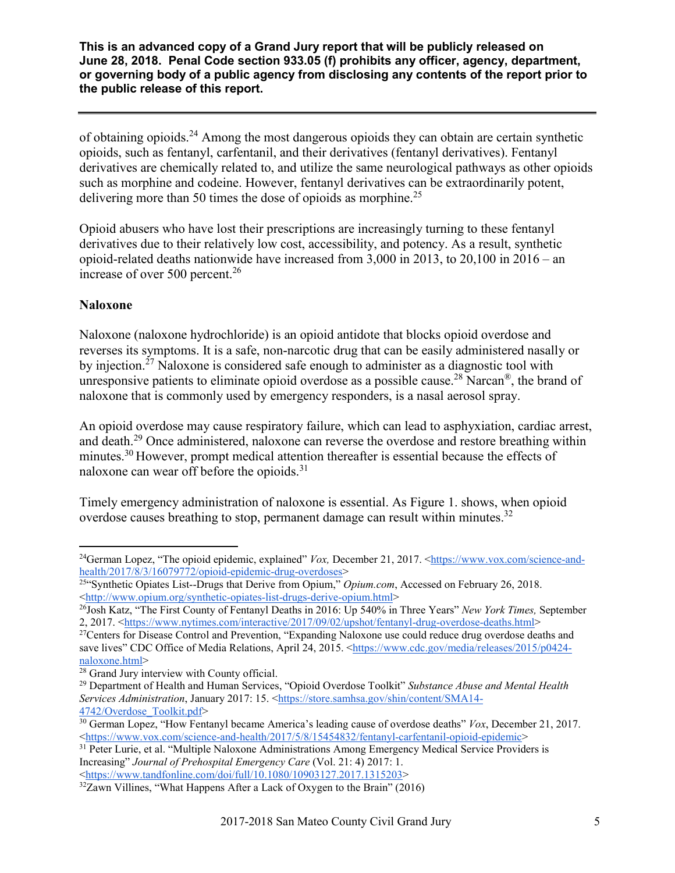of obtaining opioids.<sup>24</sup> Among the most dangerous opioids they can obtain are certain synthetic opioids, such as fentanyl, carfentanil, and their derivatives (fentanyl derivatives). Fentanyl derivatives are chemically related to, and utilize the same neurological pathways as other opioids such as morphine and codeine. However, fentanyl derivatives can be extraordinarily potent, delivering more than 50 times the dose of opioids as morphine.<sup>25</sup>

Opioid abusers who have lost their prescriptions are increasingly turning to these fentanyl derivatives due to their relatively low cost, accessibility, and potency. As a result, synthetic opioid-related deaths nationwide have increased from 3,000 in 2013, to 20,100 in 2016 – an increase of over 500 percent. $^{26}$ 

#### **Naloxone**

Naloxone (naloxone hydrochloride) is an opioid antidote that blocks opioid overdose and reverses its symptoms. It is a safe, non-narcotic drug that can be easily administered nasally or by injection.<sup>27</sup> Naloxone is considered safe enough to administer as a diagnostic tool with unresponsive patients to eliminate opioid overdose as a possible cause.<sup>28</sup> Narcan<sup>®</sup>, the brand of naloxone that is commonly used by emergency responders, is a nasal aerosol spray.

An opioid overdose may cause respiratory failure, which can lead to asphyxiation, cardiac arrest, and death.<sup>29</sup> Once administered, naloxone can reverse the overdose and restore breathing within minutes.<sup>30</sup> However, prompt medical attention thereafter is essential because the effects of naloxone can wear off before the opioids.<sup>31</sup>

Timely emergency administration of naloxone is essential. As Figure 1. shows, when opioid overdose causes breathing to stop, permanent damage can result within minutes.<sup>32</sup>

<sup>31</sup> Peter Lurie, et al. "Multiple Naloxone Administrations Among Emergency Medical Service Providers is Increasing" *Journal of Prehospital Emergency Care* (Vol. 21: 4) 2017: 1. <https://www.tandfonline.com/doi/full/10.1080/10903127.2017.1315203>

<sup>&</sup>lt;sup>24</sup>German Lopez, "The opioid epidemic, explained" *Vox*, December 21, 2017. <https://www.vox.com/science-andhealth/2017/8/3/16079772/opioid-epidemic-drug-overdoses>

<sup>&</sup>lt;sup>25"</sup>Synthetic Opiates List--Drugs that Derive from Opium," *Opium.com*, Accessed on February 26, 2018. <http://www.opium.org/synthetic-opiates-list-drugs-derive-opium.html>

<sup>26</sup>Josh Katz, "The First County of Fentanyl Deaths in 2016: Up 540% in Three Years" *New York Times,* September 2, 2017. <https://www.nytimes.com/interactive/2017/09/02/upshot/fentanyl-drug-overdose-deaths.html>

<sup>&</sup>lt;sup>27</sup>Centers for Disease Control and Prevention, "Expanding Naloxone use could reduce drug overdose deaths and save lives" CDC Office of Media Relations, April 24, 2015. <https://www.cdc.gov/media/releases/2015/p0424naloxone.html>

<sup>28</sup> Grand Jury interview with County official.

<sup>29</sup> Department of Health and Human Services, "Opioid Overdose Toolkit" *Substance Abuse and Mental Health Services Administration*, January 2017: 15. <https://store.samhsa.gov/shin/content/SMA14- 4742/Overdose\_Toolkit.pdf>

<sup>30</sup> German Lopez, "How Fentanyl became America's leading cause of overdose deaths" *Vox*, December 21, 2017. <https://www.vox.com/science-and-health/2017/5/8/15454832/fentanyl-carfentanil-opioid-epidemic>

 $32Zawn$  Villines, "What Happens After a Lack of Oxygen to the Brain" (2016)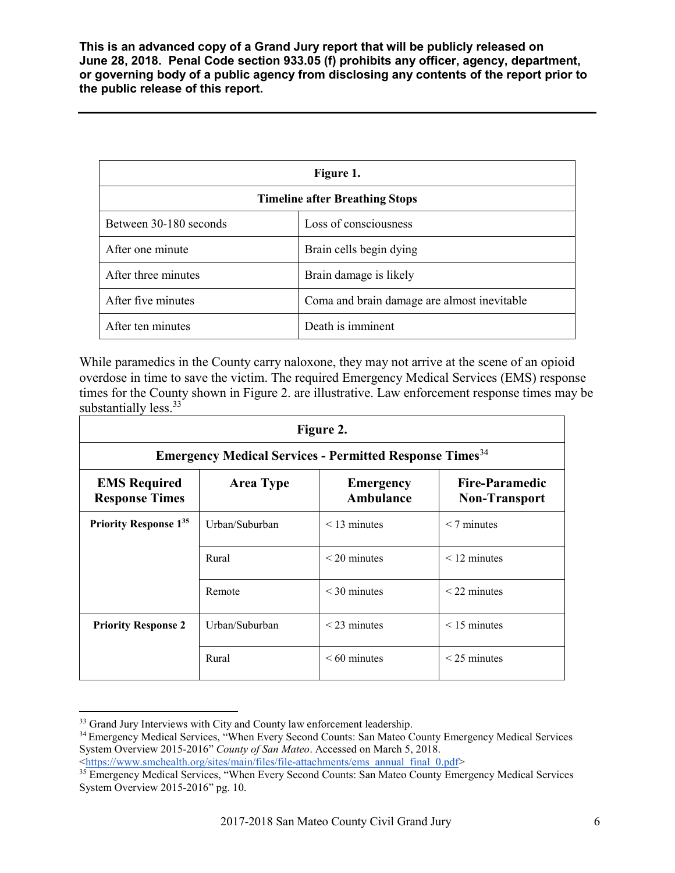| Figure 1.                             |                                             |  |
|---------------------------------------|---------------------------------------------|--|
| <b>Timeline after Breathing Stops</b> |                                             |  |
| Between 30-180 seconds                | Loss of consciousness                       |  |
| After one minute                      | Brain cells begin dying                     |  |
| After three minutes                   | Brain damage is likely                      |  |
| After five minutes                    | Coma and brain damage are almost inevitable |  |
| After ten minutes                     | Death is imminent                           |  |

While paramedics in the County carry naloxone, they may not arrive at the scene of an opioid overdose in time to save the victim. The required Emergency Medical Services (EMS) response times for the County shown in Figure 2. are illustrative. Law enforcement response times may be substantially less.<sup>33</sup>

| Figure 2.                                                                  |                  |                               |                                               |
|----------------------------------------------------------------------------|------------------|-------------------------------|-----------------------------------------------|
| <b>Emergency Medical Services - Permitted Response Times</b> <sup>34</sup> |                  |                               |                                               |
| <b>EMS Required</b><br><b>Response Times</b>                               | <b>Area Type</b> | <b>Emergency</b><br>Ambulance | <b>Fire-Paramedic</b><br><b>Non-Transport</b> |
| <b>Priority Response 135</b>                                               | Urban/Suburban   | $<$ 13 minutes                | $< 7$ minutes                                 |
|                                                                            | Rural            | $<$ 20 minutes                | $<$ 12 minutes                                |
|                                                                            | Remote           | $<$ 30 minutes                | $<$ 22 minutes                                |
| <b>Priority Response 2</b>                                                 | Urban/Suburban   | $<$ 23 minutes                | $<$ 15 minutes                                |
|                                                                            | Rural            | $<60$ minutes                 | $<$ 25 minutes                                |

<sup>&</sup>lt;sup>33</sup> Grand Jury Interviews with City and County law enforcement leadership.

<sup>&</sup>lt;sup>34</sup> Emergency Medical Services, "When Every Second Counts: San Mateo County Emergency Medical Services System Overview 2015-2016" *County of San Mateo*. Accessed on March 5, 2018.

<sup>&</sup>lt;https://www.smchealth.org/sites/main/files/file-attachments/ems\_annual\_final\_0.pdf>

<sup>&</sup>lt;sup>35</sup> Emergency Medical Services, "When Every Second Counts: San Mateo County Emergency Medical Services System Overview 2015-2016" pg. 10.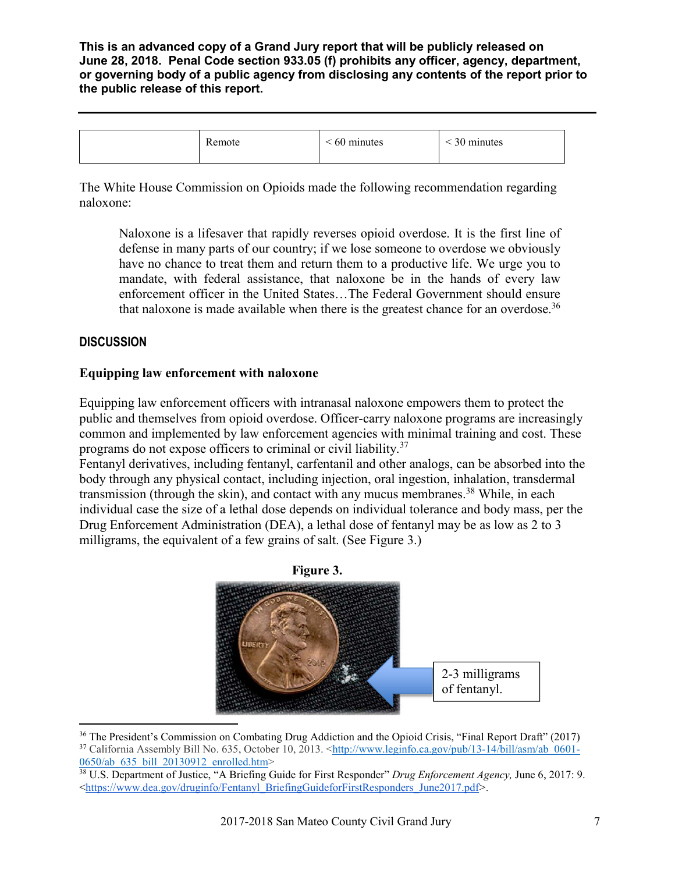| emote | 60 minutes | 30 minutes |
|-------|------------|------------|
|       |            |            |

The White House Commission on Opioids made the following recommendation regarding naloxone:

Naloxone is a lifesaver that rapidly reverses opioid overdose. It is the first line of defense in many parts of our country; if we lose someone to overdose we obviously have no chance to treat them and return them to a productive life. We urge you to mandate, with federal assistance, that naloxone be in the hands of every law enforcement officer in the United States…The Federal Government should ensure that naloxone is made available when there is the greatest chance for an overdose.<sup>36</sup>

## **DISCUSSION**

## **Equipping law enforcement with naloxone**

Equipping law enforcement officers with intranasal naloxone empowers them to protect the public and themselves from opioid overdose. Officer-carry naloxone programs are increasingly common and implemented by law enforcement agencies with minimal training and cost. These programs do not expose officers to criminal or civil liability.<sup>37</sup>

Fentanyl derivatives, including fentanyl, carfentanil and other analogs, can be absorbed into the body through any physical contact, including injection, oral ingestion, inhalation, transdermal transmission (through the skin), and contact with any mucus membranes.<sup>38</sup> While, in each individual case the size of a lethal dose depends on individual tolerance and body mass, per the Drug Enforcement Administration (DEA), a lethal dose of fentanyl may be as low as 2 to 3 milligrams, the equivalent of a few grains of salt. (See Figure 3.)



<sup>&</sup>lt;sup>36</sup> The President's Commission on Combating Drug Addiction and the Opioid Crisis, "Final Report Draft" (2017) 37 California Assembly Bill No. 635, October 10, 2013. <http://www.leginfo.ca.gov/pub/13-14/bill/asm/ab\_0601-0650/ab 635\_bill\_20130912\_enrolled.htm>

<sup>38</sup> U.S. Department of Justice, "A Briefing Guide for First Responder" *Drug Enforcement Agency,* June 6, 2017: 9. <https://www.dea.gov/druginfo/Fentanyl\_BriefingGuideforFirstResponders\_June2017.pdf*>.*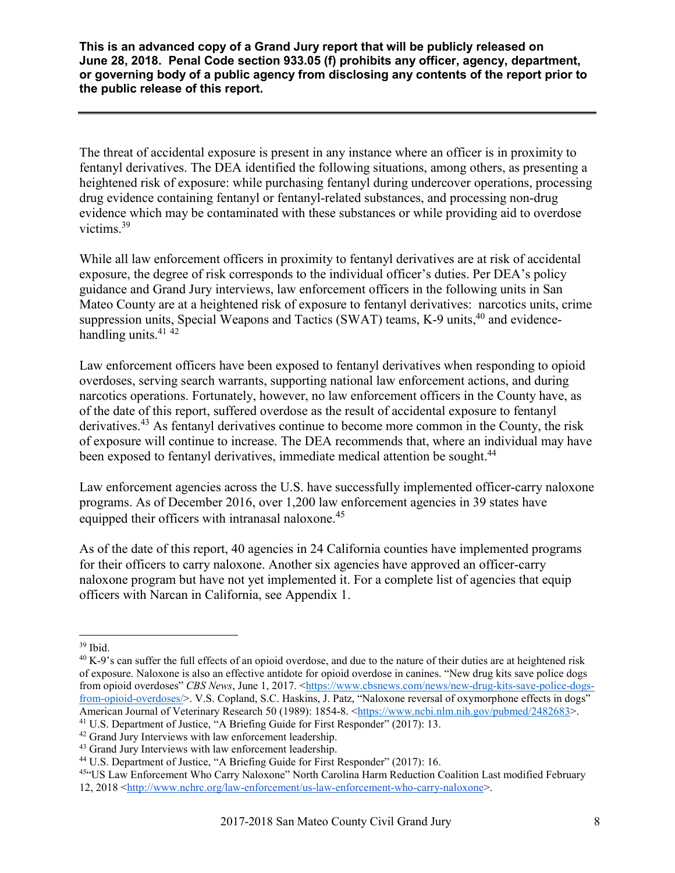The threat of accidental exposure is present in any instance where an officer is in proximity to fentanyl derivatives. The DEA identified the following situations, among others, as presenting a heightened risk of exposure: while purchasing fentanyl during undercover operations, processing drug evidence containing fentanyl or fentanyl-related substances, and processing non-drug evidence which may be contaminated with these substances or while providing aid to overdose victims.39

While all law enforcement officers in proximity to fentanyl derivatives are at risk of accidental exposure, the degree of risk corresponds to the individual officer's duties. Per DEA's policy guidance and Grand Jury interviews, law enforcement officers in the following units in San Mateo County are at a heightened risk of exposure to fentanyl derivatives: narcotics units, crime suppression units, Special Weapons and Tactics (SWAT) teams,  $K-9$  units,  $40$  and evidencehandling units.<sup>41</sup> <sup>42</sup>

Law enforcement officers have been exposed to fentanyl derivatives when responding to opioid overdoses, serving search warrants, supporting national law enforcement actions, and during narcotics operations. Fortunately, however, no law enforcement officers in the County have, as of the date of this report, suffered overdose as the result of accidental exposure to fentanyl derivatives.<sup>43</sup> As fentanyl derivatives continue to become more common in the County, the risk of exposure will continue to increase. The DEA recommends that, where an individual may have been exposed to fentanyl derivatives, immediate medical attention be sought.<sup>44</sup>

Law enforcement agencies across the U.S. have successfully implemented officer-carry naloxone programs. As of December 2016, over 1,200 law enforcement agencies in 39 states have equipped their officers with intranasal naloxone.<sup>45</sup>

As of the date of this report, 40 agencies in 24 California counties have implemented programs for their officers to carry naloxone. Another six agencies have approved an officer-carry naloxone program but have not yet implemented it. For a complete list of agencies that equip officers with Narcan in California, see Appendix 1.

 $39$  Ibid.

 $40$  K-9's can suffer the full effects of an opioid overdose, and due to the nature of their duties are at heightened risk of exposure. Naloxone is also an effective antidote for opioid overdose in canines. "New drug kits save police dogs from opioid overdoses" *CBS News*, June 1, 2017. <https://www.cbsnews.com/news/new-drug-kits-save-police-dogsfrom-opioid-overdoses/>. V.S. Copland, S.C. Haskins, J. Patz, "Naloxone reversal of oxymorphone effects in dogs" American Journal of Veterinary Research 50 (1989): 1854-8. <https://www.ncbi.nlm.nih.gov/pubmed/2482683>.

<sup>&</sup>lt;sup>41</sup> U.S. Department of Justice, "A Briefing Guide for First Responder" (2017): 13.<br><sup>42</sup> Grand Jury Interviews with law enforcement leadership.<br><sup>43</sup> Grand Jury Interviews with law enforcement leadership.

<sup>&</sup>lt;sup>44</sup> U.S. Department of Justice, "A Briefing Guide for First Responder" (2017): 16.

<sup>45&</sup>quot;US Law Enforcement Who Carry Naloxone" North Carolina Harm Reduction Coalition Last modified February 12, 2018 <http://www.nchrc.org/law-enforcement/us-law-enforcement-who-carry-naloxone>.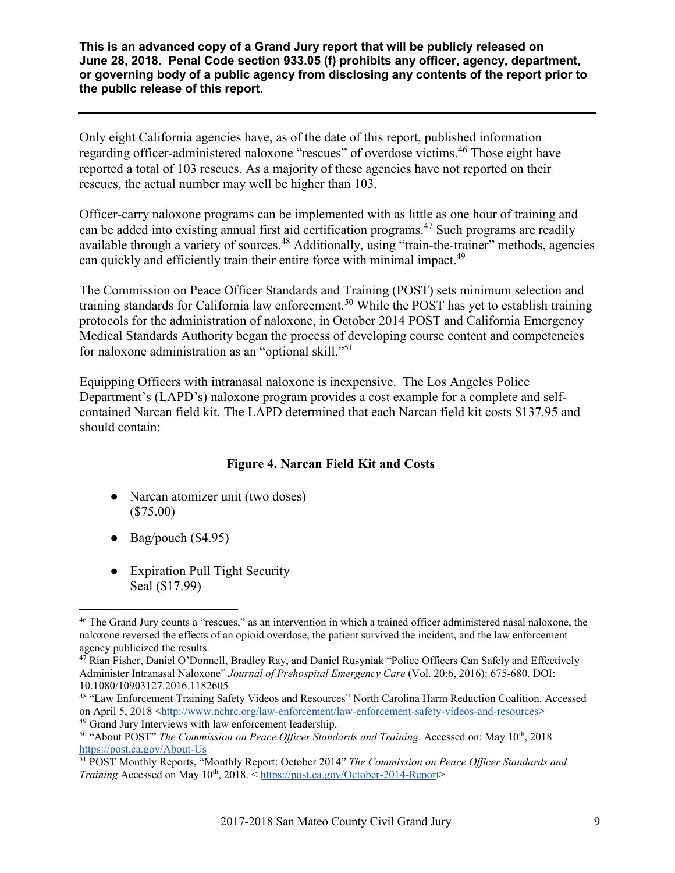Only eight California agencies have, as of the date of this report, published information regarding officer-administered naloxone "rescues" of overdose victims.46 Those eight have reported a total of 103 rescues. As a majority of these agencies have not reported on their rescues, the actual number may well be higher than 103.

Officer-carry naloxone programs can be implemented with as little as one hour of training and can be added into existing annual first aid certification programs.<sup>47</sup> Such programs are readily available through a variety of sources.<sup>48</sup> Additionally, using "train-the-trainer" methods, agencies can quickly and efficiently train their entire force with minimal impact.<sup>49</sup>

The Commission on Peace Officer Standards and Training (POST) sets minimum selection and training standards for California law enforcement.<sup>50</sup> While the POST has yet to establish training protocols for the administration of naloxone, in October 2014 POST and California Emergency Medical Standards Authority began the process of developing course content and competencies for naloxone administration as an "optional skill."<sup>51</sup>

Equipping Officers with intranasal naloxone is inexpensive. The Los Angeles Police Department's (LAPD's) naloxone program provides a cost example for a complete and selfcontained Narcan field kit. The LAPD determined that each Narcan field kit costs \$137.95 and should contain:

## **Figure 4. Narcan Field Kit and Costs**

- Narcan atomizer unit (two doses) (\$75.00)
- $\bullet$  Bag/pouch (\$4.95)
- Expiration Pull Tight Security Seal (\$17.99)

 <sup>46</sup> The Grand Jury counts a "rescues," as an intervention in which a trained officer administered nasal naloxone, the naloxone reversed the effects of an opioid overdose, the patient survived the incident, and the law enforcement agency publicized the results.

<sup>47</sup> Rian Fisher, Daniel O'Donnell, Bradley Ray, and Daniel Rusyniak "Police Officers Can Safely and Effectively Administer Intranasal Naloxone" *Journal of Prehospital Emergency Care* (Vol. 20:6, 2016): 675-680. DOI: 10.1080/10903127.2016.1182605

<sup>48</sup> "Law Enforcement Training Safety Videos and Resources" North Carolina Harm Reduction Coalition. Accessed on April 5, 2018 <http://www.nchrc.org/law-enforcement/law-enforcement-safety-videos-and-resources> <sup>49</sup> Grand Jury Interviews with law enforcement leadership.

<sup>50</sup> "About POST" *The Commission on Peace Officer Standards and Training.* Accessed on: May 10th, 2018 https://post.ca.gov/About-Us

<sup>51</sup> POST Monthly Reports, "Monthly Report: October 2014" *The Commission on Peace Officer Standards and Training* Accessed on May 10<sup>th</sup>, 2018. < https://post.ca.gov/October-2014-Report>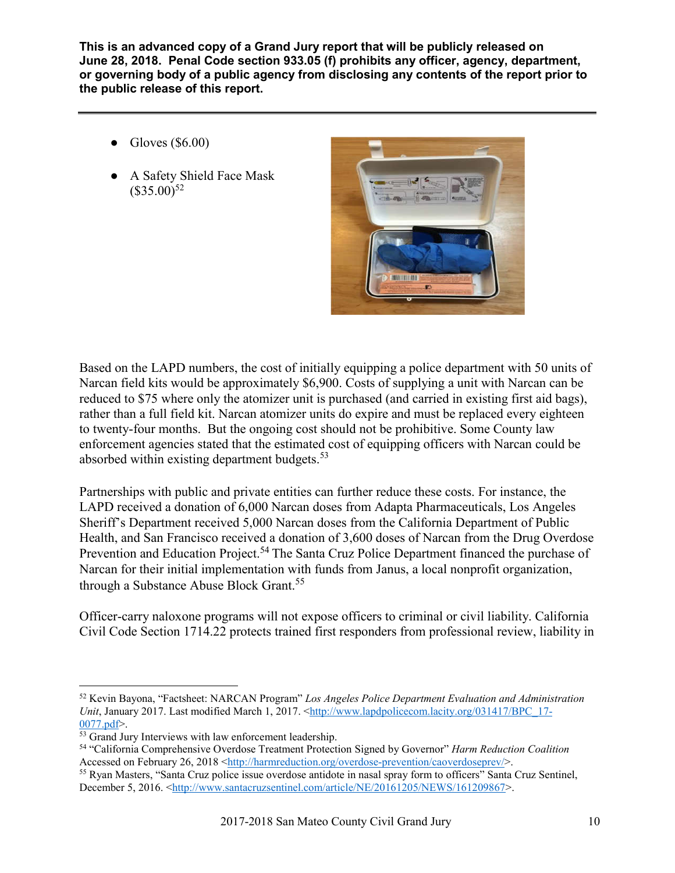- Gloves  $(\$6.00)$
- A Safety Shield Face Mask  $($35.00)^{52}$



Based on the LAPD numbers, the cost of initially equipping a police department with 50 units of Narcan field kits would be approximately \$6,900. Costs of supplying a unit with Narcan can be reduced to \$75 where only the atomizer unit is purchased (and carried in existing first aid bags), rather than a full field kit. Narcan atomizer units do expire and must be replaced every eighteen to twenty-four months. But the ongoing cost should not be prohibitive. Some County law enforcement agencies stated that the estimated cost of equipping officers with Narcan could be absorbed within existing department budgets.<sup>53</sup>

Partnerships with public and private entities can further reduce these costs. For instance, the LAPD received a donation of 6,000 Narcan doses from Adapta Pharmaceuticals, Los Angeles Sheriff's Department received 5,000 Narcan doses from the California Department of Public Health, and San Francisco received a donation of 3,600 doses of Narcan from the Drug Overdose Prevention and Education Project.<sup>54</sup> The Santa Cruz Police Department financed the purchase of Narcan for their initial implementation with funds from Janus, a local nonprofit organization, through a Substance Abuse Block Grant.<sup>55</sup>

Officer-carry naloxone programs will not expose officers to criminal or civil liability. California Civil Code Section 1714.22 protects trained first responders from professional review, liability in

 <sup>52</sup> Kevin Bayona, "Factsheet: NARCAN Program" *Los Angeles Police Department Evaluation and Administration Unit*, January 2017. Last modified March 1, 2017. <http://www.lapdpolicecom.lacity.org/031417/BPC\_17-0077.pdf>.

<sup>&</sup>lt;sup>53</sup> Grand Jury Interviews with law enforcement leadership.

<sup>54</sup> "California Comprehensive Overdose Treatment Protection Signed by Governor" *Harm Reduction Coalition* 

<sup>&</sup>lt;sup>55</sup> Ryan Masters, "Santa Cruz police issue overdose antidote in nasal spray form to officers" Santa Cruz Sentinel, December 5, 2016. <http://www.santacruzsentinel.com/article/NE/20161205/NEWS/161209867>.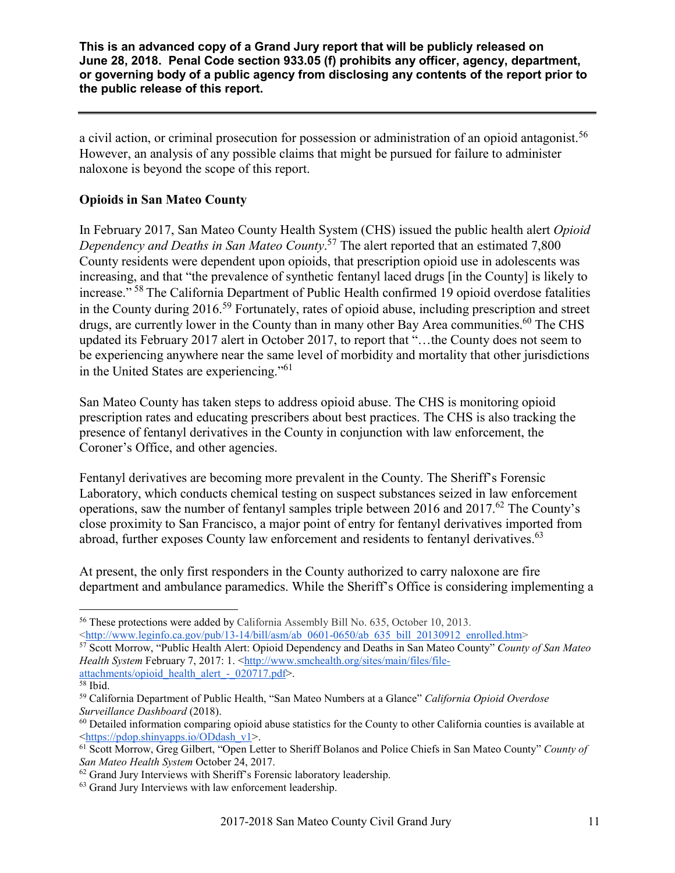a civil action, or criminal prosecution for possession or administration of an opioid antagonist.<sup>56</sup> However, an analysis of any possible claims that might be pursued for failure to administer naloxone is beyond the scope of this report.

## **Opioids in San Mateo County**

In February 2017, San Mateo County Health System (CHS) issued the public health alert *Opioid Dependency and Deaths in San Mateo County*. <sup>57</sup> The alert reported that an estimated 7,800 County residents were dependent upon opioids, that prescription opioid use in adolescents was increasing, and that "the prevalence of synthetic fentanyl laced drugs [in the County] is likely to increase." <sup>58</sup> The California Department of Public Health confirmed 19 opioid overdose fatalities in the County during 2016.59 Fortunately, rates of opioid abuse, including prescription and street drugs, are currently lower in the County than in many other Bay Area communities.<sup>60</sup> The CHS updated its February 2017 alert in October 2017, to report that "…the County does not seem to be experiencing anywhere near the same level of morbidity and mortality that other jurisdictions in the United States are experiencing."<sup>61</sup>

San Mateo County has taken steps to address opioid abuse. The CHS is monitoring opioid prescription rates and educating prescribers about best practices. The CHS is also tracking the presence of fentanyl derivatives in the County in conjunction with law enforcement, the Coroner's Office, and other agencies.

Fentanyl derivatives are becoming more prevalent in the County. The Sheriff's Forensic Laboratory, which conducts chemical testing on suspect substances seized in law enforcement operations, saw the number of fentanyl samples triple between 2016 and 2017.<sup>62</sup> The County's close proximity to San Francisco, a major point of entry for fentanyl derivatives imported from abroad, further exposes County law enforcement and residents to fentanyl derivatives.<sup>63</sup>

At present, the only first responders in the County authorized to carry naloxone are fire department and ambulance paramedics. While the Sheriff's Office is considering implementing a

 <sup>56</sup> These protections were added by California Assembly Bill No. 635, October 10, 2013.

<sup>&</sup>lt;http://www.leginfo.ca.gov/pub/13-14/bill/asm/ab\_0601-0650/ab\_635\_bill\_20130912\_enrolled.htm> 57 Scott Morrow, "Public Health Alert: Opioid Dependency and Deaths in San Mateo County" *County of San Mateo* 

*Health System* February 7, 2017: 1. <http://www.smchealth.org/sites/main/files/fileattachments/opioid\_health\_alert - 020717.pdf>.

 $\overline{58}$  Ibid.

<sup>59</sup> California Department of Public Health, "San Mateo Numbers at a Glance" *California Opioid Overdose Surveillance Dashboard* (2018).

 $60$  Detailed information comparing opioid abuse statistics for the County to other California counties is available at <https://pdop.shinyapps.io/ODdash\_v1>.

<sup>61</sup> Scott Morrow, Greg Gilbert, "Open Letter to Sheriff Bolanos and Police Chiefs in San Mateo County" *County of San Mateo Health System* October 24, 2017.

<sup>&</sup>lt;sup>62</sup> Grand Jury Interviews with Sheriff's Forensic laboratory leadership.

<sup>&</sup>lt;sup>63</sup> Grand Jury Interviews with law enforcement leadership.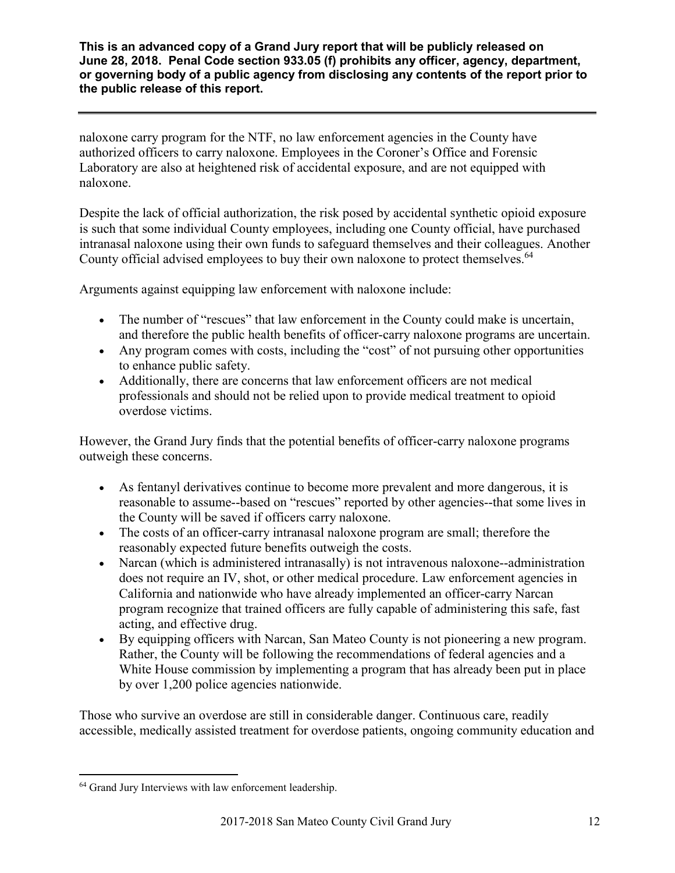naloxone carry program for the NTF, no law enforcement agencies in the County have authorized officers to carry naloxone. Employees in the Coroner's Office and Forensic Laboratory are also at heightened risk of accidental exposure, and are not equipped with naloxone.

Despite the lack of official authorization, the risk posed by accidental synthetic opioid exposure is such that some individual County employees, including one County official, have purchased intranasal naloxone using their own funds to safeguard themselves and their colleagues. Another County official advised employees to buy their own naloxone to protect themselves.<sup>64</sup>

Arguments against equipping law enforcement with naloxone include:

- The number of "rescues" that law enforcement in the County could make is uncertain, and therefore the public health benefits of officer-carry naloxone programs are uncertain.
- Any program comes with costs, including the "cost" of not pursuing other opportunities to enhance public safety.
- Additionally, there are concerns that law enforcement officers are not medical professionals and should not be relied upon to provide medical treatment to opioid overdose victims.

However, the Grand Jury finds that the potential benefits of officer-carry naloxone programs outweigh these concerns.

- As fentanyl derivatives continue to become more prevalent and more dangerous, it is reasonable to assume--based on "rescues" reported by other agencies--that some lives in the County will be saved if officers carry naloxone.
- The costs of an officer-carry intranasal naloxone program are small; therefore the reasonably expected future benefits outweigh the costs.
- Narcan (which is administered intranasally) is not intravenous naloxone--administration does not require an IV, shot, or other medical procedure. Law enforcement agencies in California and nationwide who have already implemented an officer-carry Narcan program recognize that trained officers are fully capable of administering this safe, fast acting, and effective drug.
- By equipping officers with Narcan, San Mateo County is not pioneering a new program. Rather, the County will be following the recommendations of federal agencies and a White House commission by implementing a program that has already been put in place by over 1,200 police agencies nationwide.

Those who survive an overdose are still in considerable danger. Continuous care, readily accessible, medically assisted treatment for overdose patients, ongoing community education and

<sup>&</sup>lt;sup>64</sup> Grand Jury Interviews with law enforcement leadership.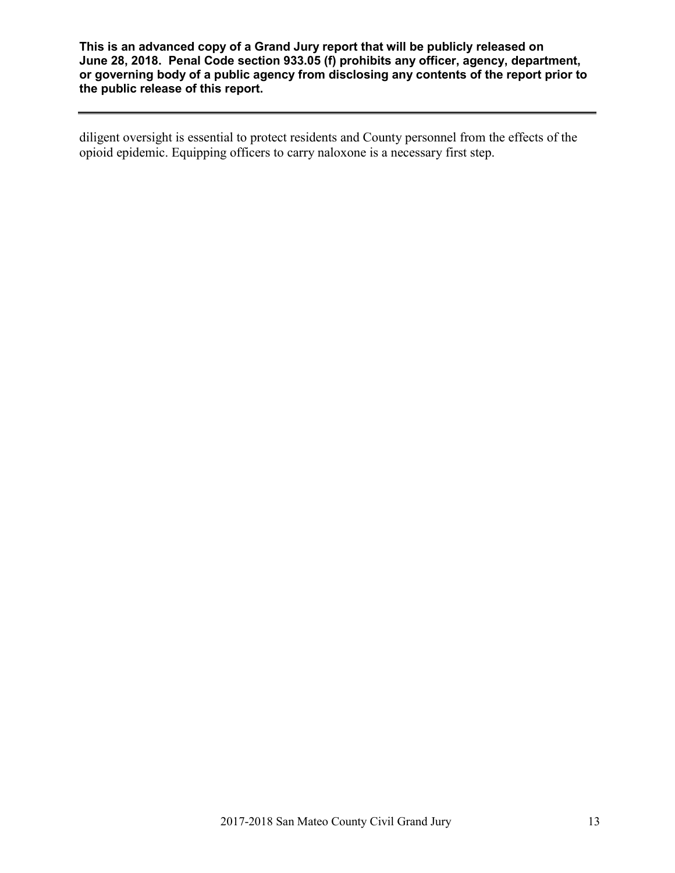diligent oversight is essential to protect residents and County personnel from the effects of the opioid epidemic. Equipping officers to carry naloxone is a necessary first step.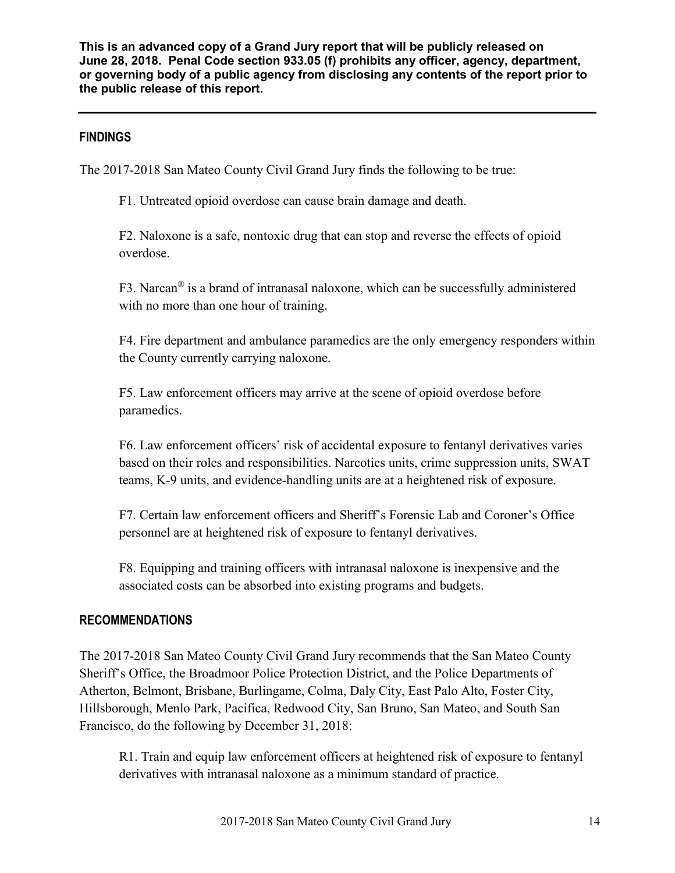## **FINDINGS**

The 2017-2018 San Mateo County Civil Grand Jury finds the following to be true:

F1. Untreated opioid overdose can cause brain damage and death.

F2. Naloxone is a safe, nontoxic drug that can stop and reverse the effects of opioid overdose.

F3. Narcan® is a brand of intranasal naloxone, which can be successfully administered with no more than one hour of training.

F4. Fire department and ambulance paramedics are the only emergency responders within the County currently carrying naloxone.

F5. Law enforcement officers may arrive at the scene of opioid overdose before paramedics.

F6. Law enforcement officers' risk of accidental exposure to fentanyl derivatives varies based on their roles and responsibilities. Narcotics units, crime suppression units, SWAT teams, K-9 units, and evidence-handling units are at a heightened risk of exposure.

F7. Certain law enforcement officers and Sheriff's Forensic Lab and Coroner's Office personnel are at heightened risk of exposure to fentanyl derivatives.

F8. Equipping and training officers with intranasal naloxone is inexpensive and the associated costs can be absorbed into existing programs and budgets.

## **RECOMMENDATIONS**

The 2017-2018 San Mateo County Civil Grand Jury recommends that the San Mateo County Sheriff's Office, the Broadmoor Police Protection District, and the Police Departments of Atherton, Belmont, Brisbane, Burlingame, Colma, Daly City, East Palo Alto, Foster City, Hillsborough, Menlo Park, Pacifica, Redwood City, San Bruno, San Mateo, and South San Francisco, do the following by December 31, 2018:

R1. Train and equip law enforcement officers at heightened risk of exposure to fentanyl derivatives with intranasal naloxone as a minimum standard of practice.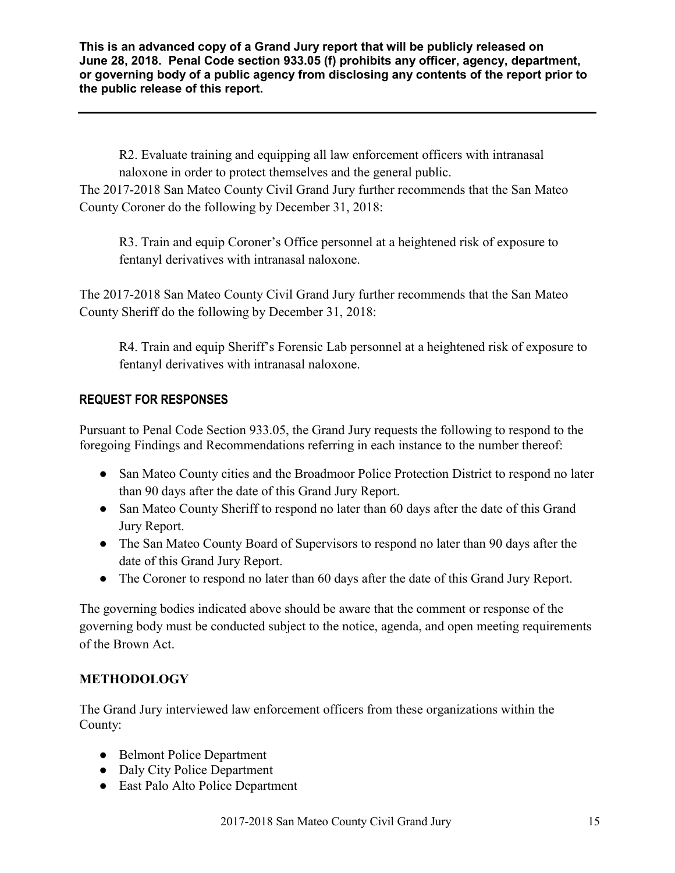R2. Evaluate training and equipping all law enforcement officers with intranasal naloxone in order to protect themselves and the general public.

The 2017-2018 San Mateo County Civil Grand Jury further recommends that the San Mateo County Coroner do the following by December 31, 2018:

R3. Train and equip Coroner's Office personnel at a heightened risk of exposure to fentanyl derivatives with intranasal naloxone.

The 2017-2018 San Mateo County Civil Grand Jury further recommends that the San Mateo County Sheriff do the following by December 31, 2018:

R4. Train and equip Sheriff's Forensic Lab personnel at a heightened risk of exposure to fentanyl derivatives with intranasal naloxone.

## **REQUEST FOR RESPONSES**

Pursuant to Penal Code Section 933.05, the Grand Jury requests the following to respond to the foregoing Findings and Recommendations referring in each instance to the number thereof:

- San Mateo County cities and the Broadmoor Police Protection District to respond no later than 90 days after the date of this Grand Jury Report.
- San Mateo County Sheriff to respond no later than 60 days after the date of this Grand Jury Report.
- The San Mateo County Board of Supervisors to respond no later than 90 days after the date of this Grand Jury Report.
- The Coroner to respond no later than 60 days after the date of this Grand Jury Report.

The governing bodies indicated above should be aware that the comment or response of the governing body must be conducted subject to the notice, agenda, and open meeting requirements of the Brown Act.

## **METHODOLOGY**

The Grand Jury interviewed law enforcement officers from these organizations within the County:

- Belmont Police Department
- Daly City Police Department
- East Palo Alto Police Department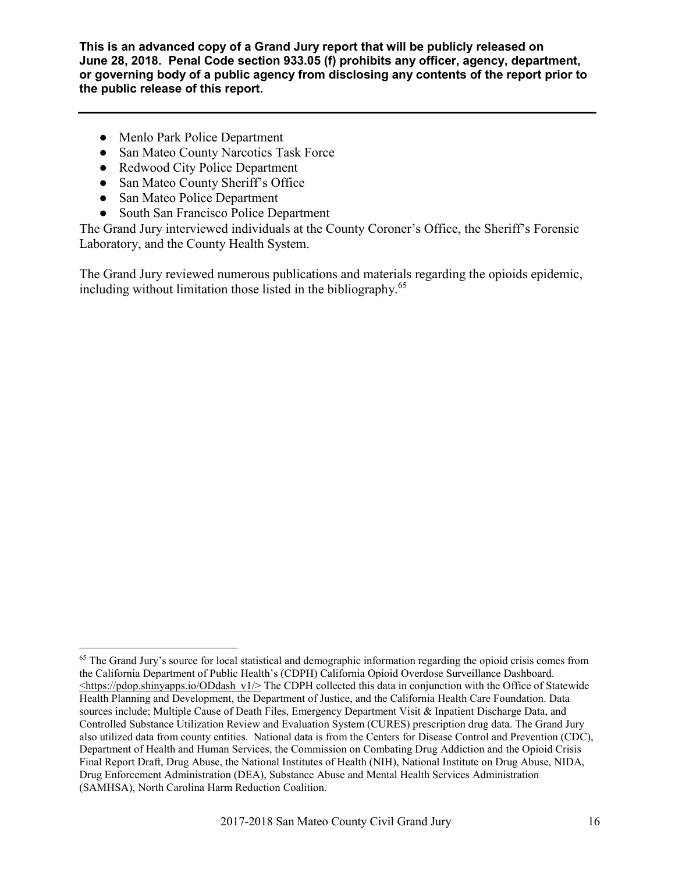- Menlo Park Police Department
- San Mateo County Narcotics Task Force
- Redwood City Police Department
- San Mateo County Sheriff's Office
- San Mateo Police Department
- South San Francisco Police Department

The Grand Jury interviewed individuals at the County Coroner's Office, the Sheriff's Forensic Laboratory, and the County Health System.

The Grand Jury reviewed numerous publications and materials regarding the opioids epidemic, including without limitation those listed in the bibliography. 65

<sup>&</sup>lt;sup>65</sup> The Grand Jury's source for local statistical and demographic information regarding the opioid crisis comes from the California Department of Public Health's (CDPH) California Opioid Overdose Surveillance Dashboard.  $\leq$ https://pdop.shinyapps.io/ODdash\_v1/> The CDPH collected this data in conjunction with the Office of Statewide Health Planning and Development, the Department of Justice, and the California Health Care Foundation. Data sources include; Multiple Cause of Death Files, Emergency Department Visit & Inpatient Discharge Data, and Controlled Substance Utilization Review and Evaluation System (CURES) prescription drug data. The Grand Jury also utilized data from county entities. National data is from the Centers for Disease Control and Prevention (CDC), Department of Health and Human Services, the Commission on Combating Drug Addiction and the Opioid Crisis Final Report Draft, Drug Abuse, the National Institutes of Health (NIH), National Institute on Drug Abuse, NIDA, Drug Enforcement Administration (DEA), Substance Abuse and Mental Health Services Administration (SAMHSA), North Carolina Harm Reduction Coalition.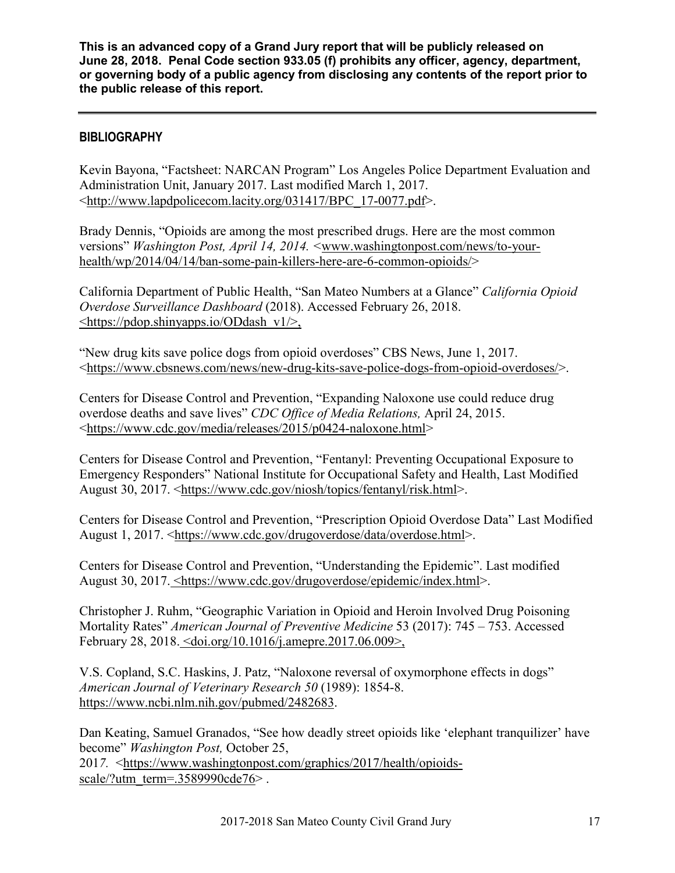## **BIBLIOGRAPHY**

Kevin Bayona, "Factsheet: NARCAN Program" Los Angeles Police Department Evaluation and Administration Unit, January 2017. Last modified March 1, 2017. <http://www.lapdpolicecom.lacity.org/031417/BPC\_17-0077.pdf>.

Brady Dennis, "Opioids are among the most prescribed drugs. Here are the most common versions" *Washington Post, April 14, 2014. <*www.washingtonpost.com/news/to-yourhealth/wp/2014/04/14/ban-some-pain-killers-here-are-6-common-opioids/>

California Department of Public Health, "San Mateo Numbers at a Glance" *California Opioid Overdose Surveillance Dashboard* (2018). Accessed February 26, 2018. <https://pdop.shinyapps.io/ODdash\_v1/>,

"New drug kits save police dogs from opioid overdoses" CBS News, June 1, 2017. <https://www.cbsnews.com/news/new-drug-kits-save-police-dogs-from-opioid-overdoses/>.

Centers for Disease Control and Prevention, "Expanding Naloxone use could reduce drug overdose deaths and save lives" *CDC Office of Media Relations,* April 24, 2015. <https://www.cdc.gov/media/releases/2015/p0424-naloxone.html>

Centers for Disease Control and Prevention, "Fentanyl: Preventing Occupational Exposure to Emergency Responders" National Institute for Occupational Safety and Health, Last Modified August 30, 2017. <https://www.cdc.gov/niosh/topics/fentanyl/risk.html>.

Centers for Disease Control and Prevention, "Prescription Opioid Overdose Data" Last Modified August 1, 2017. <https://www.cdc.gov/drugoverdose/data/overdose.html>.

Centers for Disease Control and Prevention, "Understanding the Epidemic". Last modified August 30, 2017. <https://www.cdc.gov/drugoverdose/epidemic/index.html>.

Christopher J. Ruhm, "Geographic Variation in Opioid and Heroin Involved Drug Poisoning Mortality Rates" *American Journal of Preventive Medicine* 53 (2017): 745 – 753. Accessed February 28, 2018. <doi.org/10.1016/j.amepre.2017.06.009>,

V.S. Copland, S.C. Haskins, J. Patz, "Naloxone reversal of oxymorphone effects in dogs" *American Journal of Veterinary Research 50* (1989): 1854-8. https://www.ncbi.nlm.nih.gov/pubmed/2482683.

Dan Keating, Samuel Granados, "See how deadly street opioids like 'elephant tranquilizer' have become" *Washington Post,* October 25, 201*7.* <https://www.washingtonpost.com/graphics/2017/health/opioidsscale/?utm\_term=.3589990cde76>.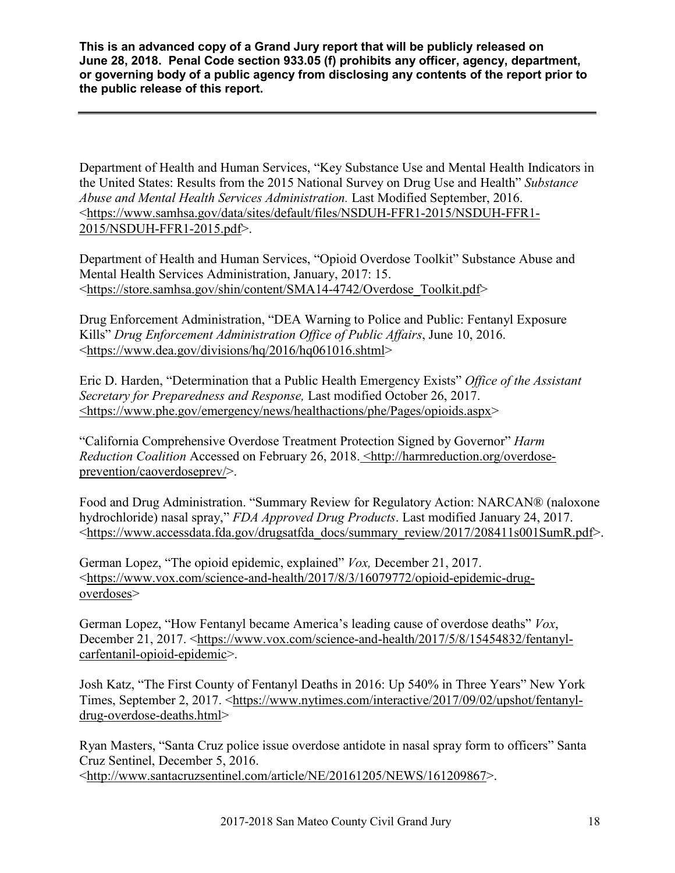Department of Health and Human Services, "Key Substance Use and Mental Health Indicators in the United States: Results from the 2015 National Survey on Drug Use and Health" *Substance Abuse and Mental Health Services Administration.* Last Modified September, 2016. <https://www.samhsa.gov/data/sites/default/files/NSDUH-FFR1-2015/NSDUH-FFR1- 2015/NSDUH-FFR1-2015.pdf>.

Department of Health and Human Services, "Opioid Overdose Toolkit" Substance Abuse and Mental Health Services Administration, January, 2017: 15. <https://store.samhsa.gov/shin/content/SMA14-4742/Overdose\_Toolkit.pdf>

Drug Enforcement Administration, "DEA Warning to Police and Public: Fentanyl Exposure Kills" *Drug Enforcement Administration Office of Public Affairs*, June 10, 2016. <https://www.dea.gov/divisions/hq/2016/hq061016.shtml>

Eric D. Harden, "Determination that a Public Health Emergency Exists" *Office of the Assistant Secretary for Preparedness and Response,* Last modified October 26, 2017. <https://www.phe.gov/emergency/news/healthactions/phe/Pages/opioids.aspx>

"California Comprehensive Overdose Treatment Protection Signed by Governor" *Harm Reduction Coalition* Accessed on February 26, 2018. <http://harmreduction.org/overdoseprevention/caoverdoseprev/>.

Food and Drug Administration. "Summary Review for Regulatory Action: NARCAN® (naloxone hydrochloride) nasal spray," *FDA Approved Drug Products*. Last modified January 24, 2017. <https://www.accessdata.fda.gov/drugsatfda\_docs/summary\_review/2017/208411s001SumR.pdf>.

German Lopez, "The opioid epidemic, explained" *Vox,* December 21, 2017. <https://www.vox.com/science-and-health/2017/8/3/16079772/opioid-epidemic-drugoverdoses>

German Lopez, "How Fentanyl became America's leading cause of overdose deaths" *Vox*, December 21, 2017. <https://www.vox.com/science-and-health/2017/5/8/15454832/fentanylcarfentanil-opioid-epidemic>.

Josh Katz, "The First County of Fentanyl Deaths in 2016: Up 540% in Three Years" New York Times, September 2, 2017. <https://www.nytimes.com/interactive/2017/09/02/upshot/fentanyldrug-overdose-deaths.html>

Ryan Masters, "Santa Cruz police issue overdose antidote in nasal spray form to officers" Santa Cruz Sentinel, December 5, 2016. <http://www.santacruzsentinel.com/article/NE/20161205/NEWS/161209867>.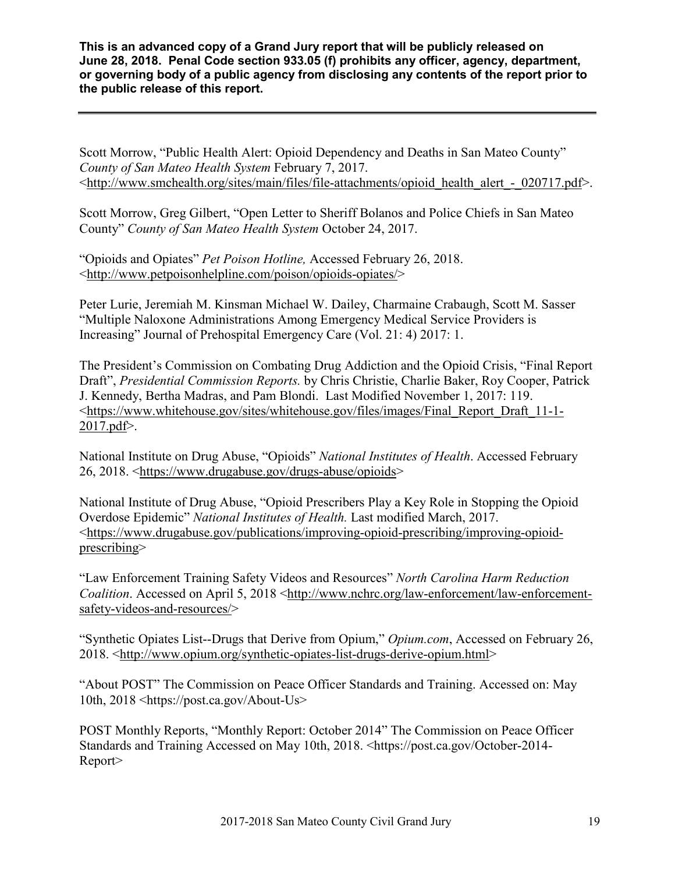Scott Morrow, "Public Health Alert: Opioid Dependency and Deaths in San Mateo County" *County of San Mateo Health System* February 7, 2017. <http://www.smchealth.org/sites/main/files/file-attachments/opioid\_health\_alert\_-\_020717.pdf>.

Scott Morrow, Greg Gilbert, "Open Letter to Sheriff Bolanos and Police Chiefs in San Mateo County" *County of San Mateo Health System* October 24, 2017.

"Opioids and Opiates" *Pet Poison Hotline,* Accessed February 26, 2018. <http://www.petpoisonhelpline.com/poison/opioids-opiates/>

Peter Lurie, Jeremiah M. Kinsman Michael W. Dailey, Charmaine Crabaugh, Scott M. Sasser "Multiple Naloxone Administrations Among Emergency Medical Service Providers is Increasing" Journal of Prehospital Emergency Care (Vol. 21: 4) 2017: 1.

The President's Commission on Combating Drug Addiction and the Opioid Crisis, "Final Report Draft", *Presidential Commission Reports.* by Chris Christie, Charlie Baker, Roy Cooper, Patrick J. Kennedy, Bertha Madras, and Pam Blondi. Last Modified November 1, 2017: 119. <https://www.whitehouse.gov/sites/whitehouse.gov/files/images/Final\_Report\_Draft\_11-1- 2017.pdf>.

National Institute on Drug Abuse, "Opioids" *National Institutes of Health*. Accessed February 26, 2018. <https://www.drugabuse.gov/drugs-abuse/opioids>

National Institute of Drug Abuse, "Opioid Prescribers Play a Key Role in Stopping the Opioid Overdose Epidemic" *National Institutes of Health.* Last modified March, 2017. <https://www.drugabuse.gov/publications/improving-opioid-prescribing/improving-opioidprescribing>

"Law Enforcement Training Safety Videos and Resources" *North Carolina Harm Reduction Coalition*. Accessed on April 5, 2018 <http://www.nchrc.org/law-enforcement/law-enforcementsafety-videos-and-resources/>

"Synthetic Opiates List--Drugs that Derive from Opium," *Opium.com*, Accessed on February 26, 2018. <http://www.opium.org/synthetic-opiates-list-drugs-derive-opium.html>

"About POST" The Commission on Peace Officer Standards and Training. Accessed on: May 10th, 2018 <https://post.ca.gov/About-Us>

POST Monthly Reports, "Monthly Report: October 2014" The Commission on Peace Officer Standards and Training Accessed on May 10th, 2018. <https://post.ca.gov/October-2014- Report>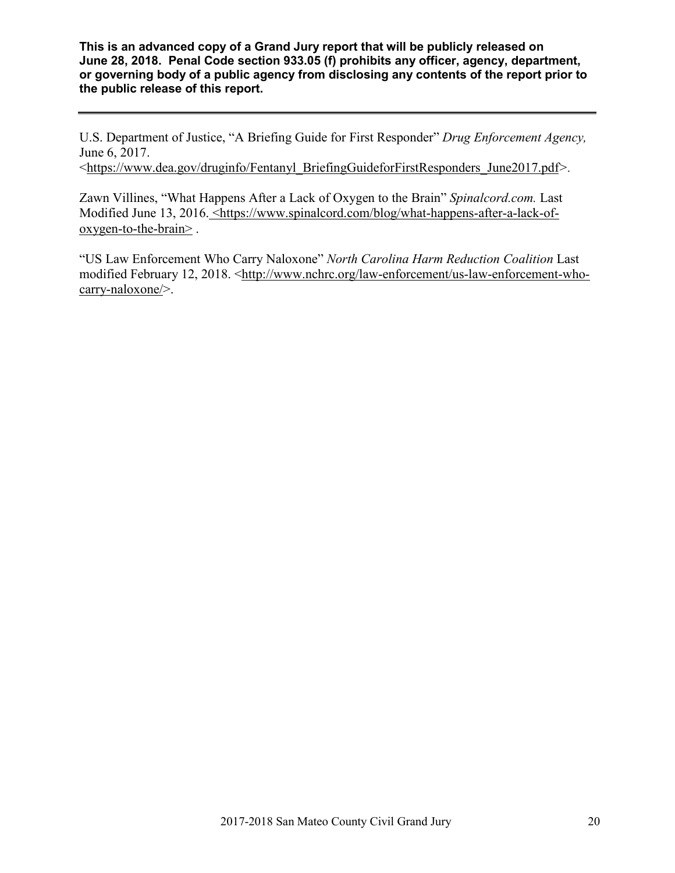U.S. Department of Justice, "A Briefing Guide for First Responder" *Drug Enforcement Agency,*  June 6, 2017.

<https://www.dea.gov/druginfo/Fentanyl\_BriefingGuideforFirstResponders\_June2017.pdf*>.*

Zawn Villines, "What Happens After a Lack of Oxygen to the Brain" *Spinalcord.com.* Last Modified June 13, 2016. <https://www.spinalcord.com/blog/what-happens-after-a-lack-ofoxygen-to-the-brain> .

"US Law Enforcement Who Carry Naloxone" *North Carolina Harm Reduction Coalition* Last modified February 12, 2018. <http://www.nchrc.org/law-enforcement/us-law-enforcement-whocarry-naloxone/>.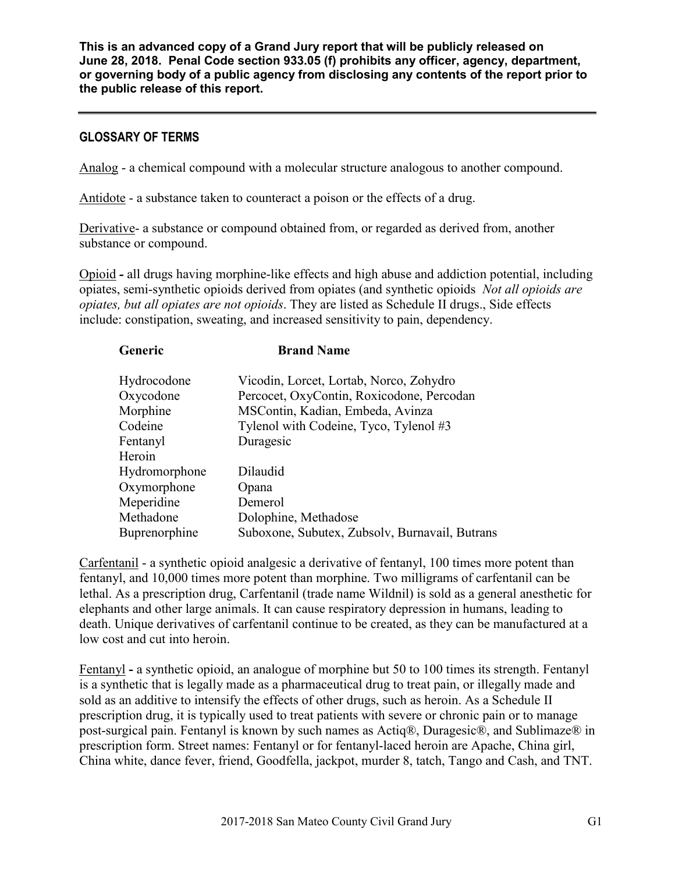#### **GLOSSARY OF TERMS**

Analog - a chemical compound with a molecular structure analogous to another compound.

Antidote - a substance taken to counteract a poison or the effects of a drug.

Derivative- a substance or compound obtained from, or regarded as derived from, another substance or compound.

Opioid *-* all drugs having morphine-like effects and high abuse and addiction potential, including opiates, semi-synthetic opioids derived from opiates (and synthetic opioids *Not all opioids are opiates, but all opiates are not opioids*. They are listed as Schedule II drugs., Side effects include: constipation, sweating, and increased sensitivity to pain, dependency.

| Generic       | <b>Brand Name</b>                              |
|---------------|------------------------------------------------|
| Hydrocodone   | Vicodin, Lorcet, Lortab, Norco, Zohydro        |
| Oxycodone     | Percocet, OxyContin, Roxicodone, Percodan      |
| Morphine      | MSContin, Kadian, Embeda, Avinza               |
| Codeine       | Tylenol with Codeine, Tyco, Tylenol #3         |
| Fentanyl      | Duragesic                                      |
| Heroin        |                                                |
| Hydromorphone | Dilaudid                                       |
| Oxymorphone   | Opana                                          |
| Meperidine    | Demerol                                        |
| Methadone     | Dolophine, Methadose                           |
| Buprenorphine | Suboxone, Subutex, Zubsolv, Burnavail, Butrans |

Carfentanil - a synthetic opioid analgesic a derivative of fentanyl, 100 times more potent than fentanyl, and 10,000 times more potent than morphine. Two milligrams of carfentanil can be lethal. As a prescription drug, Carfentanil (trade name Wildnil) is sold as a general anesthetic for elephants and other large animals. It can cause respiratory depression in humans, leading to death. Unique derivatives of carfentanil continue to be created, as they can be manufactured at a low cost and cut into heroin.

Fentanyl **-** a synthetic opioid, an analogue of morphine but 50 to 100 times its strength. Fentanyl is a synthetic that is legally made as a pharmaceutical drug to treat pain, or illegally made and sold as an additive to intensify the effects of other drugs, such as heroin. As a Schedule II prescription drug, it is typically used to treat patients with severe or chronic pain or to manage post-surgical pain. Fentanyl is known by such names as Actiq®, Duragesic®, and Sublimaze® in prescription form. Street names: Fentanyl or for fentanyl-laced heroin are Apache, China girl, China white, dance fever, friend, Goodfella, jackpot, murder 8, tatch, Tango and Cash, and TNT.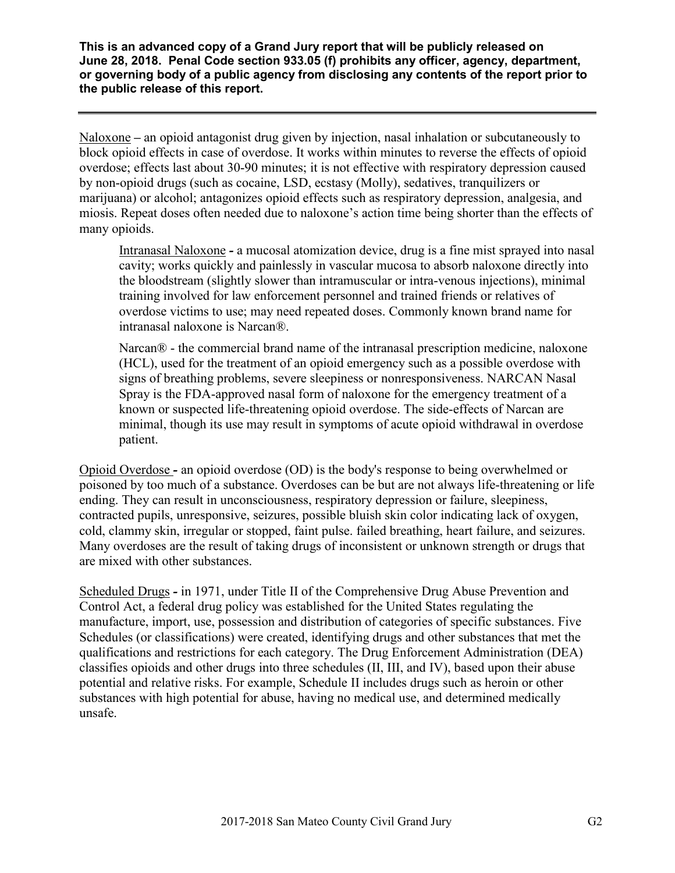Naloxone *–* an opioid antagonist drug given by injection, nasal inhalation or subcutaneously to block opioid effects in case of overdose. It works within minutes to reverse the effects of opioid overdose; effects last about 30-90 minutes; it is not effective with respiratory depression caused by non-opioid drugs (such as cocaine, LSD, ecstasy (Molly), sedatives, tranquilizers or marijuana) or alcohol; antagonizes opioid effects such as respiratory depression, analgesia, and miosis. Repeat doses often needed due to naloxone's action time being shorter than the effects of many opioids.

Intranasal Naloxone *-* a mucosal atomization device, drug is a fine mist sprayed into nasal cavity; works quickly and painlessly in vascular mucosa to absorb naloxone directly into the bloodstream (slightly slower than intramuscular or intra-venous injections), minimal training involved for law enforcement personnel and trained friends or relatives of overdose victims to use; may need repeated doses. Commonly known brand name for intranasal naloxone is Narcan®.

Narcan® - the commercial brand name of the intranasal prescription medicine, naloxone (HCL), used for the treatment of an opioid emergency such as a possible overdose with signs of breathing problems, severe sleepiness or nonresponsiveness. NARCAN Nasal Spray is the FDA-approved nasal form of naloxone for the emergency treatment of a known or suspected life-threatening opioid overdose. The side-effects of Narcan are minimal, though its use may result in symptoms of acute opioid withdrawal in overdose patient.

Opioid Overdose *-* an opioid overdose (OD) is the body's response to being overwhelmed or poisoned by too much of a substance. Overdoses can be but are not always life-threatening or life ending. They can result in unconsciousness, respiratory depression or failure, sleepiness, contracted pupils, unresponsive, seizures, possible bluish skin color indicating lack of oxygen, cold, clammy skin, irregular or stopped, faint pulse. failed breathing, heart failure, and seizures. Many overdoses are the result of taking drugs of inconsistent or unknown strength or drugs that are mixed with other substances.

Scheduled Drugs *-* in 1971, under Title II of the Comprehensive Drug Abuse Prevention and Control Act, a federal drug policy was established for the United States regulating the manufacture, import, use, possession and distribution of categories of specific substances. Five Schedules (or classifications) were created, identifying drugs and other substances that met the qualifications and restrictions for each category. The Drug Enforcement Administration (DEA) classifies opioids and other drugs into three schedules (II, III, and IV), based upon their abuse potential and relative risks. For example, Schedule II includes drugs such as heroin or other substances with high potential for abuse, having no medical use, and determined medically unsafe.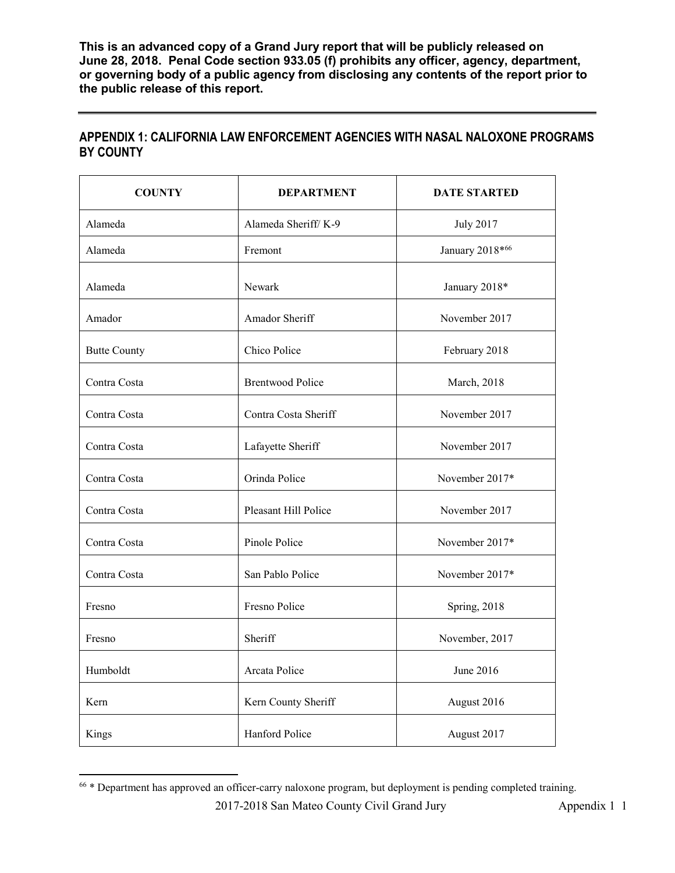| <b>COUNTY</b>       | <b>DEPARTMENT</b>       | <b>DATE STARTED</b> |
|---------------------|-------------------------|---------------------|
| Alameda             | Alameda Sheriff/K-9     | <b>July 2017</b>    |
| Alameda             | Fremont                 | January 2018*66     |
| Alameda             | Newark                  | January 2018*       |
| Amador              | Amador Sheriff          | November 2017       |
| <b>Butte County</b> | Chico Police            | February 2018       |
| Contra Costa        | <b>Brentwood Police</b> | March, 2018         |
| Contra Costa        | Contra Costa Sheriff    | November 2017       |
| Contra Costa        | Lafayette Sheriff       | November 2017       |
| Contra Costa        | Orinda Police           | November 2017*      |
| Contra Costa        | Pleasant Hill Police    | November 2017       |
| Contra Costa        | Pinole Police           | November 2017*      |
| Contra Costa        | San Pablo Police        | November 2017*      |
| Fresno              | Fresno Police           | Spring, 2018        |
| Fresno              | Sheriff                 | November, 2017      |
| Humboldt            | Arcata Police           | June 2016           |
| Kern                | Kern County Sheriff     | August 2016         |
| Kings               | Hanford Police          | August 2017         |

## **APPENDIX 1: CALIFORNIA LAW ENFORCEMENT AGENCIES WITH NASAL NALOXONE PROGRAMS BY COUNTY**

 <sup>66</sup> \* Department has approved an officer-carry naloxone program, but deployment is pending completed training.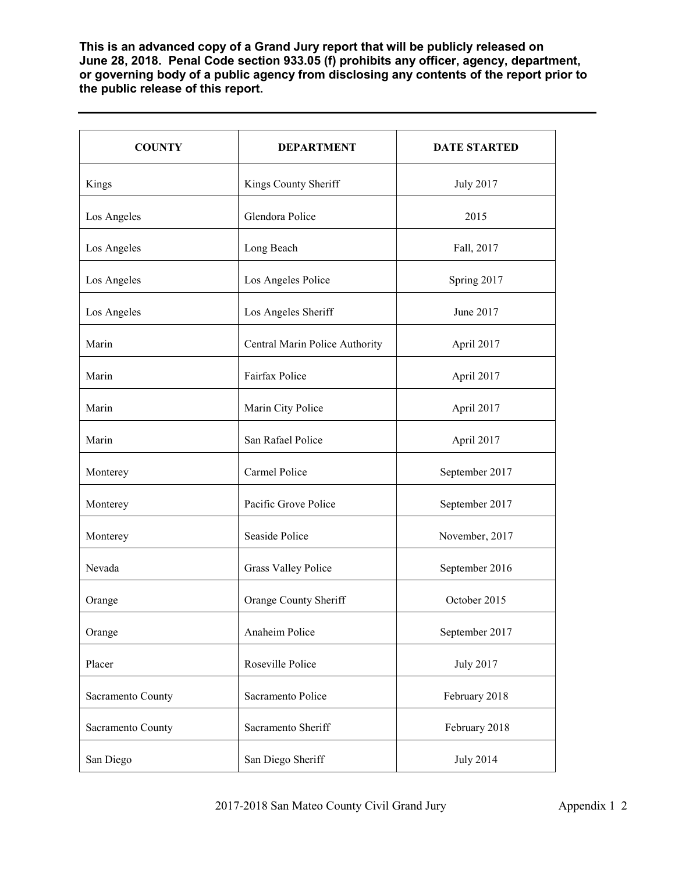| <b>COUNTY</b>     | <b>DEPARTMENT</b>              | <b>DATE STARTED</b> |
|-------------------|--------------------------------|---------------------|
| Kings             | Kings County Sheriff           | <b>July 2017</b>    |
| Los Angeles       | Glendora Police                | 2015                |
| Los Angeles       | Long Beach                     | Fall, 2017          |
| Los Angeles       | Los Angeles Police             | Spring 2017         |
| Los Angeles       | Los Angeles Sheriff            | June 2017           |
| Marin             | Central Marin Police Authority | April 2017          |
| Marin             | Fairfax Police                 | April 2017          |
| Marin             | Marin City Police              | April 2017          |
| Marin             | San Rafael Police              | April 2017          |
| Monterey          | Carmel Police                  | September 2017      |
| Monterey          | Pacific Grove Police           | September 2017      |
| Monterey          | Seaside Police                 | November, 2017      |
| Nevada            | <b>Grass Valley Police</b>     | September 2016      |
| Orange            | Orange County Sheriff          | October 2015        |
| Orange            | Anaheim Police                 | September 2017      |
| Placer            | Roseville Police               | <b>July 2017</b>    |
| Sacramento County | Sacramento Police              | February 2018       |
| Sacramento County | Sacramento Sheriff             | February 2018       |
| San Diego         | San Diego Sheriff              | <b>July 2014</b>    |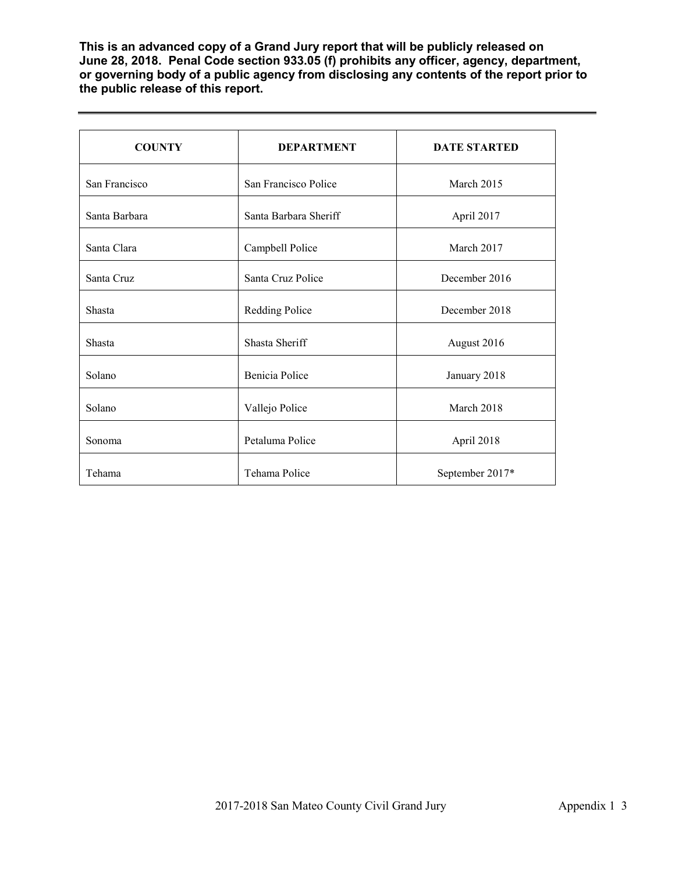| <b>COUNTY</b> | <b>DEPARTMENT</b>     | <b>DATE STARTED</b> |
|---------------|-----------------------|---------------------|
| San Francisco | San Francisco Police  | March 2015          |
| Santa Barbara | Santa Barbara Sheriff | April 2017          |
| Santa Clara   | Campbell Police       | March 2017          |
| Santa Cruz    | Santa Cruz Police     | December 2016       |
| Shasta        | Redding Police        | December 2018       |
| Shasta        | Shasta Sheriff        | August 2016         |
| Solano        | Benicia Police        | January 2018        |
| Solano        | Vallejo Police        | March 2018          |
| Sonoma        | Petaluma Police       | April 2018          |
| Tehama        | Tehama Police         | September 2017*     |